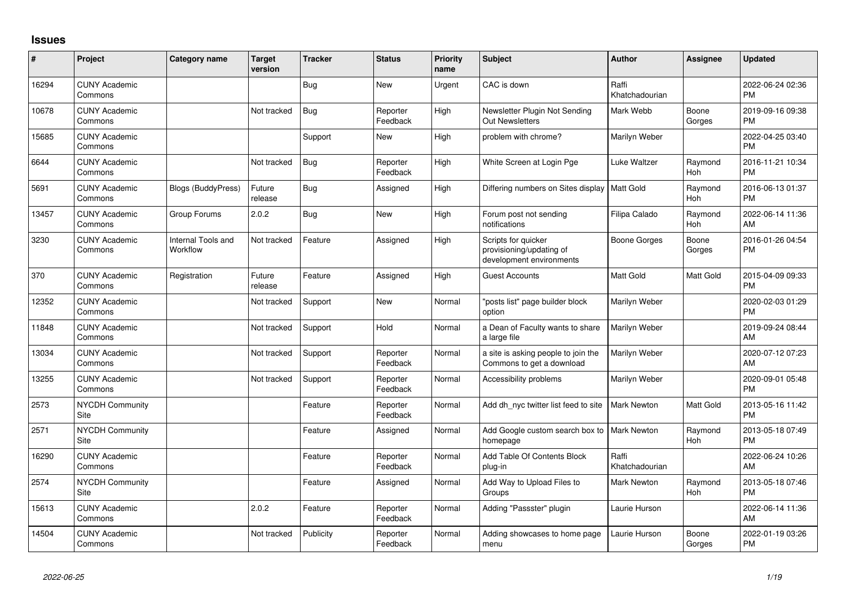## **Issues**

| #     | Project                         | <b>Category name</b>           | <b>Target</b><br>version | <b>Tracker</b> | <b>Status</b>        | <b>Priority</b><br>name | Subject                                                                     | <b>Author</b>           | <b>Assignee</b>       | <b>Updated</b>                |
|-------|---------------------------------|--------------------------------|--------------------------|----------------|----------------------|-------------------------|-----------------------------------------------------------------------------|-------------------------|-----------------------|-------------------------------|
| 16294 | <b>CUNY Academic</b><br>Commons |                                |                          | <b>Bug</b>     | <b>New</b>           | Urgent                  | CAC is down                                                                 | Raffi<br>Khatchadourian |                       | 2022-06-24 02:36<br><b>PM</b> |
| 10678 | <b>CUNY Academic</b><br>Commons |                                | Not tracked              | <b>Bug</b>     | Reporter<br>Feedback | High                    | Newsletter Plugin Not Sending<br><b>Out Newsletters</b>                     | Mark Webb               | Boone<br>Gorges       | 2019-09-16 09:38<br><b>PM</b> |
| 15685 | <b>CUNY Academic</b><br>Commons |                                |                          | Support        | <b>New</b>           | High                    | problem with chrome?                                                        | Marilyn Weber           |                       | 2022-04-25 03:40<br><b>PM</b> |
| 6644  | <b>CUNY Academic</b><br>Commons |                                | Not tracked              | Bug            | Reporter<br>Feedback | High                    | White Screen at Login Pge                                                   | Luke Waltzer            | Raymond<br><b>Hoh</b> | 2016-11-21 10:34<br><b>PM</b> |
| 5691  | <b>CUNY Academic</b><br>Commons | Blogs (BuddyPress)             | Future<br>release        | <b>Bug</b>     | Assigned             | High                    | Differing numbers on Sites display                                          | <b>Matt Gold</b>        | Raymond<br><b>Hoh</b> | 2016-06-13 01:37<br><b>PM</b> |
| 13457 | <b>CUNY Academic</b><br>Commons | Group Forums                   | 2.0.2                    | <b>Bug</b>     | <b>New</b>           | High                    | Forum post not sending<br>notifications                                     | Filipa Calado           | Raymond<br>Hoh        | 2022-06-14 11:36<br>AM        |
| 3230  | <b>CUNY Academic</b><br>Commons | Internal Tools and<br>Workflow | Not tracked              | Feature        | Assigned             | High                    | Scripts for quicker<br>provisioning/updating of<br>development environments | <b>Boone Gorges</b>     | Boone<br>Gorges       | 2016-01-26 04:54<br><b>PM</b> |
| 370   | <b>CUNY Academic</b><br>Commons | Registration                   | Future<br>release        | Feature        | Assigned             | High                    | Guest Accounts                                                              | Matt Gold               | Matt Gold             | 2015-04-09 09:33<br><b>PM</b> |
| 12352 | <b>CUNY Academic</b><br>Commons |                                | Not tracked              | Support        | <b>New</b>           | Normal                  | 'posts list" page builder block<br>option                                   | Marilyn Weber           |                       | 2020-02-03 01:29<br><b>PM</b> |
| 11848 | <b>CUNY Academic</b><br>Commons |                                | Not tracked              | Support        | Hold                 | Normal                  | a Dean of Faculty wants to share<br>a large file                            | Marilyn Weber           |                       | 2019-09-24 08:44<br>AM        |
| 13034 | <b>CUNY Academic</b><br>Commons |                                | Not tracked              | Support        | Reporter<br>Feedback | Normal                  | a site is asking people to join the<br>Commons to get a download            | Marilyn Weber           |                       | 2020-07-12 07:23<br>AM        |
| 13255 | <b>CUNY Academic</b><br>Commons |                                | Not tracked              | Support        | Reporter<br>Feedback | Normal                  | Accessibility problems                                                      | Marilyn Weber           |                       | 2020-09-01 05:48<br><b>PM</b> |
| 2573  | NYCDH Community<br>Site         |                                |                          | Feature        | Reporter<br>Feedback | Normal                  | Add dh_nyc twitter list feed to site                                        | <b>Mark Newton</b>      | Matt Gold             | 2013-05-16 11:42<br><b>PM</b> |
| 2571  | <b>NYCDH Community</b><br>Site  |                                |                          | Feature        | Assigned             | Normal                  | Add Google custom search box to<br>homepage                                 | <b>Mark Newton</b>      | Raymond<br>Hoh        | 2013-05-18 07:49<br><b>PM</b> |
| 16290 | <b>CUNY Academic</b><br>Commons |                                |                          | Feature        | Reporter<br>Feedback | Normal                  | Add Table Of Contents Block<br>plug-in                                      | Raffi<br>Khatchadourian |                       | 2022-06-24 10:26<br>AM        |
| 2574  | <b>NYCDH Community</b><br>Site  |                                |                          | Feature        | Assigned             | Normal                  | Add Way to Upload Files to<br>Groups                                        | <b>Mark Newton</b>      | Raymond<br><b>Hoh</b> | 2013-05-18 07:46<br><b>PM</b> |
| 15613 | <b>CUNY Academic</b><br>Commons |                                | 2.0.2                    | Feature        | Reporter<br>Feedback | Normal                  | Adding "Passster" plugin                                                    | Laurie Hurson           |                       | 2022-06-14 11:36<br>AM        |
| 14504 | <b>CUNY Academic</b><br>Commons |                                | Not tracked              | Publicity      | Reporter<br>Feedback | Normal                  | Adding showcases to home page<br>menu                                       | Laurie Hurson           | Boone<br>Gorges       | 2022-01-19 03:26<br><b>PM</b> |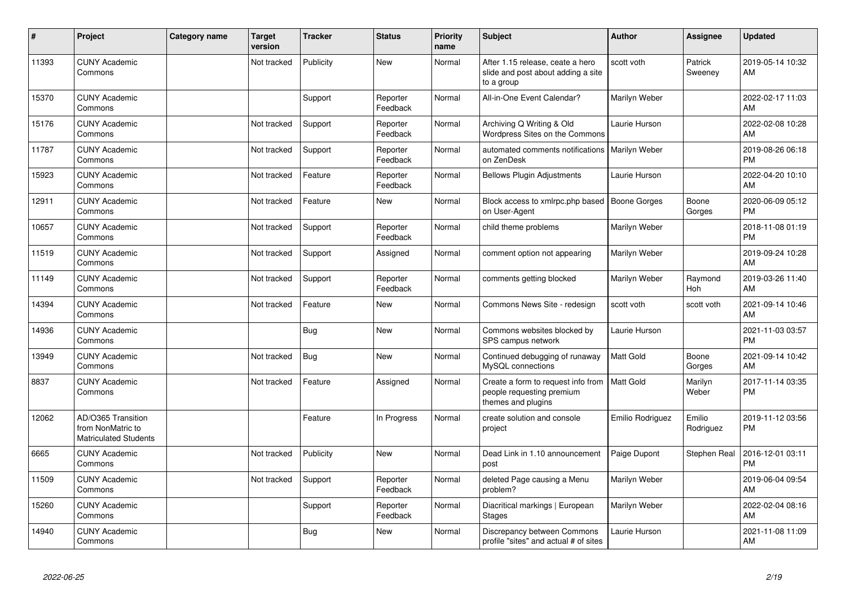| #     | Project                                                                 | <b>Category name</b> | <b>Target</b><br>version | <b>Tracker</b> | <b>Status</b>        | <b>Priority</b><br>name | <b>Subject</b>                                                                        | <b>Author</b>    | <b>Assignee</b>     | <b>Updated</b>                |
|-------|-------------------------------------------------------------------------|----------------------|--------------------------|----------------|----------------------|-------------------------|---------------------------------------------------------------------------------------|------------------|---------------------|-------------------------------|
| 11393 | <b>CUNY Academic</b><br>Commons                                         |                      | Not tracked              | Publicity      | <b>New</b>           | Normal                  | After 1.15 release, ceate a hero<br>slide and post about adding a site<br>to a group  | scott voth       | Patrick<br>Sweeney  | 2019-05-14 10:32<br>AM        |
| 15370 | <b>CUNY Academic</b><br>Commons                                         |                      |                          | Support        | Reporter<br>Feedback | Normal                  | All-in-One Event Calendar?                                                            | Marilyn Weber    |                     | 2022-02-17 11:03<br>AM        |
| 15176 | <b>CUNY Academic</b><br>Commons                                         |                      | Not tracked              | Support        | Reporter<br>Feedback | Normal                  | Archiving Q Writing & Old<br>Wordpress Sites on the Commons                           | Laurie Hurson    |                     | 2022-02-08 10:28<br>AM        |
| 11787 | <b>CUNY Academic</b><br>Commons                                         |                      | Not tracked              | Support        | Reporter<br>Feedback | Normal                  | automated comments notifications   Marilyn Weber<br>on ZenDesk                        |                  |                     | 2019-08-26 06:18<br><b>PM</b> |
| 15923 | <b>CUNY Academic</b><br>Commons                                         |                      | Not tracked              | Feature        | Reporter<br>Feedback | Normal                  | <b>Bellows Plugin Adjustments</b>                                                     | Laurie Hurson    |                     | 2022-04-20 10:10<br>AM        |
| 12911 | <b>CUNY Academic</b><br>Commons                                         |                      | Not tracked              | Feature        | <b>New</b>           | Normal                  | Block access to xmlrpc.php based   Boone Gorges<br>on User-Agent                      |                  | Boone<br>Gorges     | 2020-06-09 05:12<br><b>PM</b> |
| 10657 | <b>CUNY Academic</b><br>Commons                                         |                      | Not tracked              | Support        | Reporter<br>Feedback | Normal                  | child theme problems                                                                  | Marilyn Weber    |                     | 2018-11-08 01:19<br><b>PM</b> |
| 11519 | <b>CUNY Academic</b><br>Commons                                         |                      | Not tracked              | Support        | Assigned             | Normal                  | comment option not appearing                                                          | Marilyn Weber    |                     | 2019-09-24 10:28<br>AM        |
| 11149 | <b>CUNY Academic</b><br>Commons                                         |                      | Not tracked              | Support        | Reporter<br>Feedback | Normal                  | comments getting blocked                                                              | Marilyn Weber    | Raymond<br>Hoh      | 2019-03-26 11:40<br>AM        |
| 14394 | <b>CUNY Academic</b><br>Commons                                         |                      | Not tracked              | Feature        | <b>New</b>           | Normal                  | Commons News Site - redesign                                                          | scott voth       | scott voth          | 2021-09-14 10:46<br>AM        |
| 14936 | <b>CUNY Academic</b><br>Commons                                         |                      |                          | Bug            | <b>New</b>           | Normal                  | Commons websites blocked by<br>SPS campus network                                     | Laurie Hurson    |                     | 2021-11-03 03:57<br>PM        |
| 13949 | <b>CUNY Academic</b><br>Commons                                         |                      | Not tracked              | Bug            | <b>New</b>           | Normal                  | Continued debugging of runaway<br>MySQL connections                                   | Matt Gold        | Boone<br>Gorges     | 2021-09-14 10:42<br>AM        |
| 8837  | <b>CUNY Academic</b><br>Commons                                         |                      | Not tracked              | Feature        | Assigned             | Normal                  | Create a form to request info from<br>people requesting premium<br>themes and plugins | <b>Matt Gold</b> | Marilyn<br>Weber    | 2017-11-14 03:35<br><b>PM</b> |
| 12062 | AD/O365 Transition<br>from NonMatric to<br><b>Matriculated Students</b> |                      |                          | Feature        | In Progress          | Normal                  | create solution and console<br>project                                                | Emilio Rodriguez | Emilio<br>Rodriguez | 2019-11-12 03:56<br>PM        |
| 6665  | <b>CUNY Academic</b><br>Commons                                         |                      | Not tracked              | Publicity      | <b>New</b>           | Normal                  | Dead Link in 1.10 announcement<br>post                                                | Paige Dupont     | Stephen Real        | 2016-12-01 03:11<br><b>PM</b> |
| 11509 | <b>CUNY Academic</b><br>Commons                                         |                      | Not tracked              | Support        | Reporter<br>Feedback | Normal                  | deleted Page causing a Menu<br>problem?                                               | Marilyn Weber    |                     | 2019-06-04 09:54<br>AM        |
| 15260 | <b>CUNY Academic</b><br>Commons                                         |                      |                          | Support        | Reporter<br>Feedback | Normal                  | Diacritical markings   European<br><b>Stages</b>                                      | Marilyn Weber    |                     | 2022-02-04 08:16<br>AM        |
| 14940 | <b>CUNY Academic</b><br>Commons                                         |                      |                          | Bug            | <b>New</b>           | Normal                  | Discrepancy between Commons<br>profile "sites" and actual # of sites                  | Laurie Hurson    |                     | 2021-11-08 11:09<br>AM        |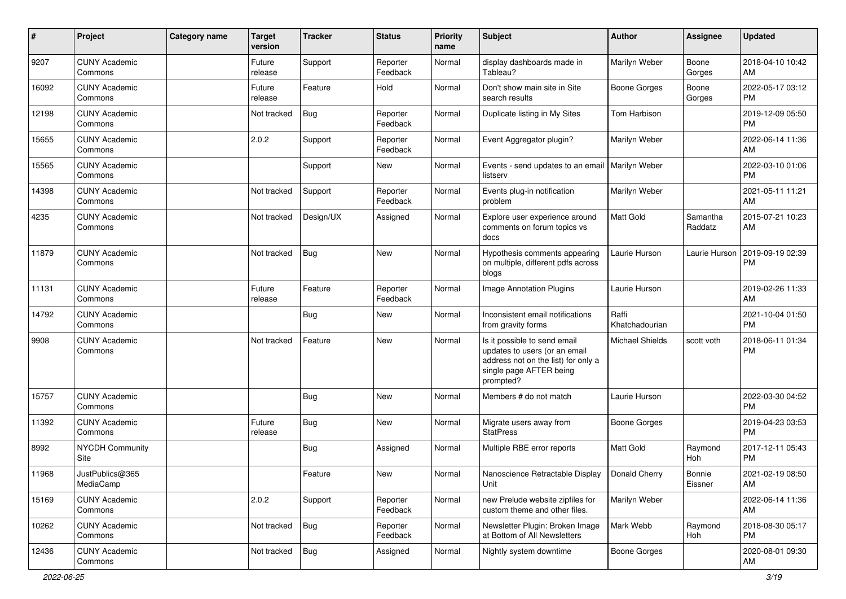| #     | Project                         | <b>Category name</b> | <b>Target</b><br>version | <b>Tracker</b> | <b>Status</b>        | <b>Priority</b><br>name | <b>Subject</b>                                                                                                                               | <b>Author</b>           | Assignee            | <b>Updated</b>                |
|-------|---------------------------------|----------------------|--------------------------|----------------|----------------------|-------------------------|----------------------------------------------------------------------------------------------------------------------------------------------|-------------------------|---------------------|-------------------------------|
| 9207  | <b>CUNY Academic</b><br>Commons |                      | Future<br>release        | Support        | Reporter<br>Feedback | Normal                  | display dashboards made in<br>Tableau?                                                                                                       | Marilyn Weber           | Boone<br>Gorges     | 2018-04-10 10:42<br>AM        |
| 16092 | <b>CUNY Academic</b><br>Commons |                      | Future<br>release        | Feature        | Hold                 | Normal                  | Don't show main site in Site<br>search results                                                                                               | <b>Boone Gorges</b>     | Boone<br>Gorges     | 2022-05-17 03:12<br><b>PM</b> |
| 12198 | <b>CUNY Academic</b><br>Commons |                      | Not tracked              | Bug            | Reporter<br>Feedback | Normal                  | Duplicate listing in My Sites                                                                                                                | Tom Harbison            |                     | 2019-12-09 05:50<br><b>PM</b> |
| 15655 | <b>CUNY Academic</b><br>Commons |                      | 2.0.2                    | Support        | Reporter<br>Feedback | Normal                  | Event Aggregator plugin?                                                                                                                     | Marilyn Weber           |                     | 2022-06-14 11:36<br>AM        |
| 15565 | <b>CUNY Academic</b><br>Commons |                      |                          | Support        | New                  | Normal                  | Events - send updates to an email   Marilyn Weber<br>listserv                                                                                |                         |                     | 2022-03-10 01:06<br><b>PM</b> |
| 14398 | <b>CUNY Academic</b><br>Commons |                      | Not tracked              | Support        | Reporter<br>Feedback | Normal                  | Events plug-in notification<br>problem                                                                                                       | Marilyn Weber           |                     | 2021-05-11 11:21<br>AM        |
| 4235  | <b>CUNY Academic</b><br>Commons |                      | Not tracked              | Design/UX      | Assigned             | Normal                  | Explore user experience around<br>comments on forum topics vs<br>docs                                                                        | Matt Gold               | Samantha<br>Raddatz | 2015-07-21 10:23<br>AM        |
| 11879 | <b>CUNY Academic</b><br>Commons |                      | Not tracked              | Bug            | <b>New</b>           | Normal                  | Hypothesis comments appearing<br>on multiple, different pdfs across<br>blogs                                                                 | Laurie Hurson           | Laurie Hurson       | 2019-09-19 02:39<br><b>PM</b> |
| 11131 | <b>CUNY Academic</b><br>Commons |                      | Future<br>release        | Feature        | Reporter<br>Feedback | Normal                  | Image Annotation Plugins                                                                                                                     | Laurie Hurson           |                     | 2019-02-26 11:33<br>AM        |
| 14792 | <b>CUNY Academic</b><br>Commons |                      |                          | <b>Bug</b>     | New                  | Normal                  | Inconsistent email notifications<br>from gravity forms                                                                                       | Raffi<br>Khatchadourian |                     | 2021-10-04 01:50<br><b>PM</b> |
| 9908  | <b>CUNY Academic</b><br>Commons |                      | Not tracked              | Feature        | New                  | Normal                  | Is it possible to send email<br>updates to users (or an email<br>address not on the list) for only a<br>single page AFTER being<br>prompted? | <b>Michael Shields</b>  | scott voth          | 2018-06-11 01:34<br><b>PM</b> |
| 15757 | <b>CUNY Academic</b><br>Commons |                      |                          | <b>Bug</b>     | <b>New</b>           | Normal                  | Members # do not match                                                                                                                       | Laurie Hurson           |                     | 2022-03-30 04:52<br><b>PM</b> |
| 11392 | <b>CUNY Academic</b><br>Commons |                      | Future<br>release        | Bug            | New                  | Normal                  | Migrate users away from<br><b>StatPress</b>                                                                                                  | <b>Boone Gorges</b>     |                     | 2019-04-23 03:53<br><b>PM</b> |
| 8992  | <b>NYCDH Community</b><br>Site  |                      |                          | <b>Bug</b>     | Assigned             | Normal                  | Multiple RBE error reports                                                                                                                   | <b>Matt Gold</b>        | Raymond<br>Hoh      | 2017-12-11 05:43<br><b>PM</b> |
| 11968 | JustPublics@365<br>MediaCamp    |                      |                          | Feature        | New                  | Normal                  | Nanoscience Retractable Display<br>Unit                                                                                                      | Donald Cherry           | Bonnie<br>Eissner   | 2021-02-19 08:50<br>AM        |
| 15169 | <b>CUNY Academic</b><br>Commons |                      | 2.0.2                    | Support        | Reporter<br>Feedback | Normal                  | new Prelude website zipfiles for<br>custom theme and other files.                                                                            | Marilyn Weber           |                     | 2022-06-14 11:36<br>AM        |
| 10262 | <b>CUNY Academic</b><br>Commons |                      | Not tracked              | <b>Bug</b>     | Reporter<br>Feedback | Normal                  | Newsletter Plugin: Broken Image<br>at Bottom of All Newsletters                                                                              | Mark Webb               | Raymond<br>Hoh      | 2018-08-30 05:17<br><b>PM</b> |
| 12436 | <b>CUNY Academic</b><br>Commons |                      | Not tracked              | Bug            | Assigned             | Normal                  | Nightly system downtime                                                                                                                      | Boone Gorges            |                     | 2020-08-01 09:30<br>AM        |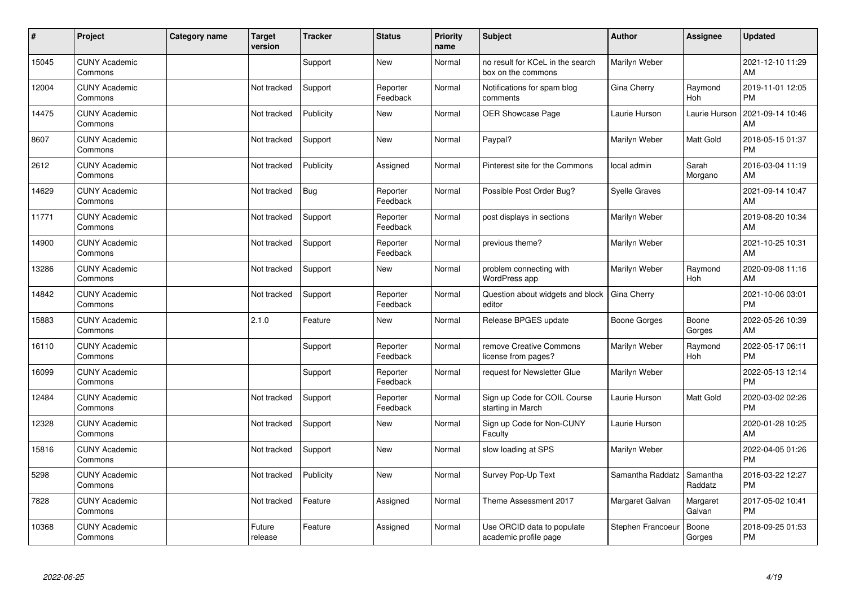| #     | Project                         | Category name | <b>Target</b><br>version | <b>Tracker</b> | <b>Status</b>        | <b>Priority</b><br>name | <b>Subject</b>                                         | <b>Author</b>     | <b>Assignee</b>       | <b>Updated</b>                |
|-------|---------------------------------|---------------|--------------------------|----------------|----------------------|-------------------------|--------------------------------------------------------|-------------------|-----------------------|-------------------------------|
| 15045 | <b>CUNY Academic</b><br>Commons |               |                          | Support        | <b>New</b>           | Normal                  | no result for KCeL in the search<br>box on the commons | Marilyn Weber     |                       | 2021-12-10 11:29<br>AM        |
| 12004 | <b>CUNY Academic</b><br>Commons |               | Not tracked              | Support        | Reporter<br>Feedback | Normal                  | Notifications for spam blog<br>comments                | Gina Cherry       | Raymond<br><b>Hoh</b> | 2019-11-01 12:05<br><b>PM</b> |
| 14475 | <b>CUNY Academic</b><br>Commons |               | Not tracked              | Publicity      | <b>New</b>           | Normal                  | <b>OER Showcase Page</b>                               | Laurie Hurson     | Laurie Hurson         | 2021-09-14 10:46<br>AM        |
| 8607  | <b>CUNY Academic</b><br>Commons |               | Not tracked              | Support        | <b>New</b>           | Normal                  | Paypal?                                                | Marilyn Weber     | Matt Gold             | 2018-05-15 01:37<br><b>PM</b> |
| 2612  | <b>CUNY Academic</b><br>Commons |               | Not tracked              | Publicity      | Assigned             | Normal                  | Pinterest site for the Commons                         | local admin       | Sarah<br>Morgano      | 2016-03-04 11:19<br>AM        |
| 14629 | <b>CUNY Academic</b><br>Commons |               | Not tracked              | Bug            | Reporter<br>Feedback | Normal                  | Possible Post Order Bug?                               | Syelle Graves     |                       | 2021-09-14 10:47<br>AM        |
| 11771 | <b>CUNY Academic</b><br>Commons |               | Not tracked              | Support        | Reporter<br>Feedback | Normal                  | post displays in sections                              | Marilyn Weber     |                       | 2019-08-20 10:34<br>AM        |
| 14900 | <b>CUNY Academic</b><br>Commons |               | Not tracked              | Support        | Reporter<br>Feedback | Normal                  | previous theme?                                        | Marilyn Weber     |                       | 2021-10-25 10:31<br>AM        |
| 13286 | <b>CUNY Academic</b><br>Commons |               | Not tracked              | Support        | New                  | Normal                  | problem connecting with<br>WordPress app               | Marilyn Weber     | Raymond<br>Hoh        | 2020-09-08 11:16<br>AM        |
| 14842 | <b>CUNY Academic</b><br>Commons |               | Not tracked              | Support        | Reporter<br>Feedback | Normal                  | Question about widgets and block<br>editor             | Gina Cherry       |                       | 2021-10-06 03:01<br><b>PM</b> |
| 15883 | <b>CUNY Academic</b><br>Commons |               | 2.1.0                    | Feature        | New                  | Normal                  | Release BPGES update                                   | Boone Gorges      | Boone<br>Gorges       | 2022-05-26 10:39<br>AM        |
| 16110 | <b>CUNY Academic</b><br>Commons |               |                          | Support        | Reporter<br>Feedback | Normal                  | remove Creative Commons<br>license from pages?         | Marilyn Weber     | Raymond<br>Hoh        | 2022-05-17 06:11<br><b>PM</b> |
| 16099 | <b>CUNY Academic</b><br>Commons |               |                          | Support        | Reporter<br>Feedback | Normal                  | request for Newsletter Glue                            | Marilyn Weber     |                       | 2022-05-13 12:14<br><b>PM</b> |
| 12484 | <b>CUNY Academic</b><br>Commons |               | Not tracked              | Support        | Reporter<br>Feedback | Normal                  | Sign up Code for COIL Course<br>starting in March      | Laurie Hurson     | Matt Gold             | 2020-03-02 02:26<br><b>PM</b> |
| 12328 | <b>CUNY Academic</b><br>Commons |               | Not tracked              | Support        | <b>New</b>           | Normal                  | Sign up Code for Non-CUNY<br>Faculty                   | Laurie Hurson     |                       | 2020-01-28 10:25<br>AM        |
| 15816 | <b>CUNY Academic</b><br>Commons |               | Not tracked              | Support        | <b>New</b>           | Normal                  | slow loading at SPS                                    | Marilyn Weber     |                       | 2022-04-05 01:26<br>PM        |
| 5298  | <b>CUNY Academic</b><br>Commons |               | Not tracked              | Publicity      | <b>New</b>           | Normal                  | Survey Pop-Up Text                                     | Samantha Raddatz  | Samantha<br>Raddatz   | 2016-03-22 12:27<br><b>PM</b> |
| 7828  | <b>CUNY Academic</b><br>Commons |               | Not tracked              | Feature        | Assigned             | Normal                  | Theme Assessment 2017                                  | Margaret Galvan   | Margaret<br>Galvan    | 2017-05-02 10:41<br><b>PM</b> |
| 10368 | <b>CUNY Academic</b><br>Commons |               | Future<br>release        | Feature        | Assigned             | Normal                  | Use ORCID data to populate<br>academic profile page    | Stephen Francoeur | Boone<br>Gorges       | 2018-09-25 01:53<br><b>PM</b> |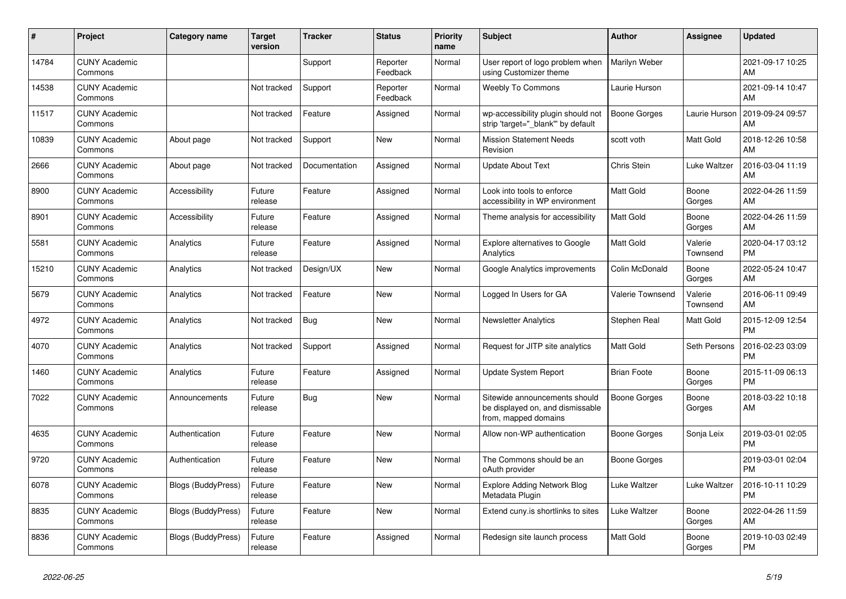| #     | Project                         | <b>Category name</b>      | <b>Target</b><br>version | <b>Tracker</b> | <b>Status</b>        | <b>Priority</b><br>name | <b>Subject</b>                                                                            | <b>Author</b>       | <b>Assignee</b>     | <b>Updated</b>                |
|-------|---------------------------------|---------------------------|--------------------------|----------------|----------------------|-------------------------|-------------------------------------------------------------------------------------------|---------------------|---------------------|-------------------------------|
| 14784 | <b>CUNY Academic</b><br>Commons |                           |                          | Support        | Reporter<br>Feedback | Normal                  | User report of logo problem when<br>using Customizer theme                                | Marilyn Weber       |                     | 2021-09-17 10:25<br>AM        |
| 14538 | <b>CUNY Academic</b><br>Commons |                           | Not tracked              | Support        | Reporter<br>Feedback | Normal                  | <b>Weebly To Commons</b>                                                                  | Laurie Hurson       |                     | 2021-09-14 10:47<br>AM        |
| 11517 | <b>CUNY Academic</b><br>Commons |                           | Not tracked              | Feature        | Assigned             | Normal                  | wp-accessibility plugin should not<br>strip 'target="_blank"' by default                  | <b>Boone Gorges</b> | Laurie Hurson       | 2019-09-24 09:57<br>AM        |
| 10839 | <b>CUNY Academic</b><br>Commons | About page                | Not tracked              | Support        | <b>New</b>           | Normal                  | <b>Mission Statement Needs</b><br>Revision                                                | scott voth          | Matt Gold           | 2018-12-26 10:58<br>AM        |
| 2666  | <b>CUNY Academic</b><br>Commons | About page                | Not tracked              | Documentation  | Assigned             | Normal                  | <b>Update About Text</b>                                                                  | <b>Chris Stein</b>  | Luke Waltzer        | 2016-03-04 11:19<br>AM        |
| 8900  | <b>CUNY Academic</b><br>Commons | Accessibility             | Future<br>release        | Feature        | Assigned             | Normal                  | Look into tools to enforce<br>accessibility in WP environment                             | <b>Matt Gold</b>    | Boone<br>Gorges     | 2022-04-26 11:59<br>AM        |
| 8901  | <b>CUNY Academic</b><br>Commons | Accessibility             | Future<br>release        | Feature        | Assigned             | Normal                  | Theme analysis for accessibility                                                          | Matt Gold           | Boone<br>Gorges     | 2022-04-26 11:59<br>AM        |
| 5581  | <b>CUNY Academic</b><br>Commons | Analytics                 | Future<br>release        | Feature        | Assigned             | Normal                  | <b>Explore alternatives to Google</b><br>Analytics                                        | Matt Gold           | Valerie<br>Townsend | 2020-04-17 03:12<br><b>PM</b> |
| 15210 | <b>CUNY Academic</b><br>Commons | Analytics                 | Not tracked              | Design/UX      | <b>New</b>           | Normal                  | Google Analytics improvements                                                             | Colin McDonald      | Boone<br>Gorges     | 2022-05-24 10:47<br>AM        |
| 5679  | <b>CUNY Academic</b><br>Commons | Analytics                 | Not tracked              | Feature        | <b>New</b>           | Normal                  | Logged In Users for GA                                                                    | Valerie Townsend    | Valerie<br>Townsend | 2016-06-11 09:49<br>AM        |
| 4972  | <b>CUNY Academic</b><br>Commons | Analytics                 | Not tracked              | Bug            | <b>New</b>           | Normal                  | <b>Newsletter Analytics</b>                                                               | Stephen Real        | Matt Gold           | 2015-12-09 12:54<br><b>PM</b> |
| 4070  | <b>CUNY Academic</b><br>Commons | Analytics                 | Not tracked              | Support        | Assigned             | Normal                  | Request for JITP site analytics                                                           | Matt Gold           | Seth Persons        | 2016-02-23 03:09<br><b>PM</b> |
| 1460  | <b>CUNY Academic</b><br>Commons | Analytics                 | Future<br>release        | Feature        | Assigned             | Normal                  | Update System Report                                                                      | <b>Brian Foote</b>  | Boone<br>Gorges     | 2015-11-09 06:13<br><b>PM</b> |
| 7022  | <b>CUNY Academic</b><br>Commons | Announcements             | Future<br>release        | Bug            | <b>New</b>           | Normal                  | Sitewide announcements should<br>be displayed on, and dismissable<br>from, mapped domains | Boone Gorges        | Boone<br>Gorges     | 2018-03-22 10:18<br>AM        |
| 4635  | <b>CUNY Academic</b><br>Commons | Authentication            | Future<br>release        | Feature        | New                  | Normal                  | Allow non-WP authentication                                                               | Boone Gorges        | Sonja Leix          | 2019-03-01 02:05<br><b>PM</b> |
| 9720  | <b>CUNY Academic</b><br>Commons | Authentication            | Future<br>release        | Feature        | <b>New</b>           | Normal                  | The Commons should be an<br>oAuth provider                                                | Boone Gorges        |                     | 2019-03-01 02:04<br><b>PM</b> |
| 6078  | <b>CUNY Academic</b><br>Commons | Blogs (BuddyPress)        | Future<br>release        | Feature        | <b>New</b>           | Normal                  | <b>Explore Adding Network Blog</b><br>Metadata Plugin                                     | Luke Waltzer        | Luke Waltzer        | 2016-10-11 10:29<br><b>PM</b> |
| 8835  | <b>CUNY Academic</b><br>Commons | <b>Blogs (BuddyPress)</b> | Future<br>release        | Feature        | <b>New</b>           | Normal                  | Extend cuny.is shortlinks to sites                                                        | Luke Waltzer        | Boone<br>Gorges     | 2022-04-26 11:59<br>AM        |
| 8836  | <b>CUNY Academic</b><br>Commons | <b>Blogs (BuddyPress)</b> | Future<br>release        | Feature        | Assigned             | Normal                  | Redesign site launch process                                                              | Matt Gold           | Boone<br>Gorges     | 2019-10-03 02:49<br><b>PM</b> |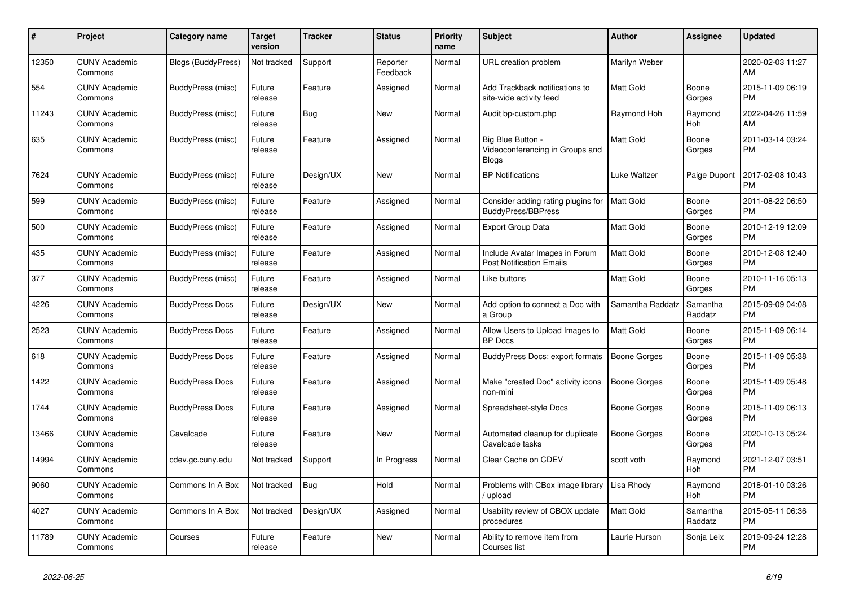| $\pmb{\#}$ | Project                         | Category name             | <b>Target</b><br>version | <b>Tracker</b> | <b>Status</b>        | <b>Priority</b><br>name | <b>Subject</b>                                                       | <b>Author</b>       | <b>Assignee</b>       | <b>Updated</b>                |
|------------|---------------------------------|---------------------------|--------------------------|----------------|----------------------|-------------------------|----------------------------------------------------------------------|---------------------|-----------------------|-------------------------------|
| 12350      | <b>CUNY Academic</b><br>Commons | <b>Blogs (BuddyPress)</b> | Not tracked              | Support        | Reporter<br>Feedback | Normal                  | URL creation problem                                                 | Marilyn Weber       |                       | 2020-02-03 11:27<br>AM        |
| 554        | <b>CUNY Academic</b><br>Commons | BuddyPress (misc)         | Future<br>release        | Feature        | Assigned             | Normal                  | Add Trackback notifications to<br>site-wide activity feed            | <b>Matt Gold</b>    | Boone<br>Gorges       | 2015-11-09 06:19<br><b>PM</b> |
| 11243      | <b>CUNY Academic</b><br>Commons | BuddyPress (misc)         | Future<br>release        | <b>Bug</b>     | <b>New</b>           | Normal                  | Audit bp-custom.php                                                  | Raymond Hoh         | Raymond<br>Hoh        | 2022-04-26 11:59<br>AM        |
| 635        | <b>CUNY Academic</b><br>Commons | BuddyPress (misc)         | Future<br>release        | Feature        | Assigned             | Normal                  | Big Blue Button -<br>Videoconferencing in Groups and<br><b>Blogs</b> | <b>Matt Gold</b>    | Boone<br>Gorges       | 2011-03-14 03:24<br><b>PM</b> |
| 7624       | <b>CUNY Academic</b><br>Commons | BuddyPress (misc)         | Future<br>release        | Design/UX      | <b>New</b>           | Normal                  | <b>BP</b> Notifications                                              | Luke Waltzer        | Paige Dupont          | 2017-02-08 10:43<br><b>PM</b> |
| 599        | <b>CUNY Academic</b><br>Commons | BuddyPress (misc)         | Future<br>release        | Feature        | Assigned             | Normal                  | Consider adding rating plugins for<br>BuddyPress/BBPress             | <b>Matt Gold</b>    | Boone<br>Gorges       | 2011-08-22 06:50<br><b>PM</b> |
| 500        | <b>CUNY Academic</b><br>Commons | BuddyPress (misc)         | Future<br>release        | Feature        | Assigned             | Normal                  | Export Group Data                                                    | <b>Matt Gold</b>    | Boone<br>Gorges       | 2010-12-19 12:09<br><b>PM</b> |
| 435        | <b>CUNY Academic</b><br>Commons | BuddyPress (misc)         | Future<br>release        | Feature        | Assigned             | Normal                  | Include Avatar Images in Forum<br><b>Post Notification Emails</b>    | Matt Gold           | Boone<br>Gorges       | 2010-12-08 12:40<br><b>PM</b> |
| 377        | <b>CUNY Academic</b><br>Commons | BuddyPress (misc)         | Future<br>release        | Feature        | Assigned             | Normal                  | Like buttons                                                         | <b>Matt Gold</b>    | Boone<br>Gorges       | 2010-11-16 05:13<br><b>PM</b> |
| 4226       | <b>CUNY Academic</b><br>Commons | <b>BuddyPress Docs</b>    | Future<br>release        | Design/UX      | <b>New</b>           | Normal                  | Add option to connect a Doc with<br>a Group                          | Samantha Raddatz    | Samantha<br>Raddatz   | 2015-09-09 04:08<br><b>PM</b> |
| 2523       | <b>CUNY Academic</b><br>Commons | <b>BuddyPress Docs</b>    | Future<br>release        | Feature        | Assigned             | Normal                  | Allow Users to Upload Images to<br><b>BP</b> Docs                    | Matt Gold           | Boone<br>Gorges       | 2015-11-09 06:14<br><b>PM</b> |
| 618        | <b>CUNY Academic</b><br>Commons | <b>BuddyPress Docs</b>    | Future<br>release        | Feature        | Assigned             | Normal                  | BuddyPress Docs: export formats                                      | Boone Gorges        | Boone<br>Gorges       | 2015-11-09 05:38<br><b>PM</b> |
| 1422       | <b>CUNY Academic</b><br>Commons | <b>BuddyPress Docs</b>    | Future<br>release        | Feature        | Assigned             | Normal                  | Make "created Doc" activity icons<br>non-mini                        | <b>Boone Gorges</b> | Boone<br>Gorges       | 2015-11-09 05:48<br><b>PM</b> |
| 1744       | <b>CUNY Academic</b><br>Commons | <b>BuddyPress Docs</b>    | Future<br>release        | Feature        | Assigned             | Normal                  | Spreadsheet-style Docs                                               | Boone Gorges        | Boone<br>Gorges       | 2015-11-09 06:13<br><b>PM</b> |
| 13466      | <b>CUNY Academic</b><br>Commons | Cavalcade                 | Future<br>release        | Feature        | <b>New</b>           | Normal                  | Automated cleanup for duplicate<br>Cavalcade tasks                   | Boone Gorges        | Boone<br>Gorges       | 2020-10-13 05:24<br><b>PM</b> |
| 14994      | <b>CUNY Academic</b><br>Commons | cdev.gc.cuny.edu          | Not tracked              | Support        | In Progress          | Normal                  | Clear Cache on CDEV                                                  | scott voth          | Raymond<br>Hoh        | 2021-12-07 03:51<br><b>PM</b> |
| 9060       | <b>CUNY Academic</b><br>Commons | Commons In A Box          | Not tracked              | Bug            | Hold                 | Normal                  | Problems with CBox image library<br>upload                           | Lisa Rhody          | Raymond<br><b>Hoh</b> | 2018-01-10 03:26<br><b>PM</b> |
| 4027       | <b>CUNY Academic</b><br>Commons | Commons In A Box          | Not tracked              | Design/UX      | Assigned             | Normal                  | Usability review of CBOX update<br>procedures                        | Matt Gold           | Samantha<br>Raddatz   | 2015-05-11 06:36<br><b>PM</b> |
| 11789      | <b>CUNY Academic</b><br>Commons | Courses                   | Future<br>release        | Feature        | <b>New</b>           | Normal                  | Ability to remove item from<br>Courses list                          | Laurie Hurson       | Sonja Leix            | 2019-09-24 12:28<br><b>PM</b> |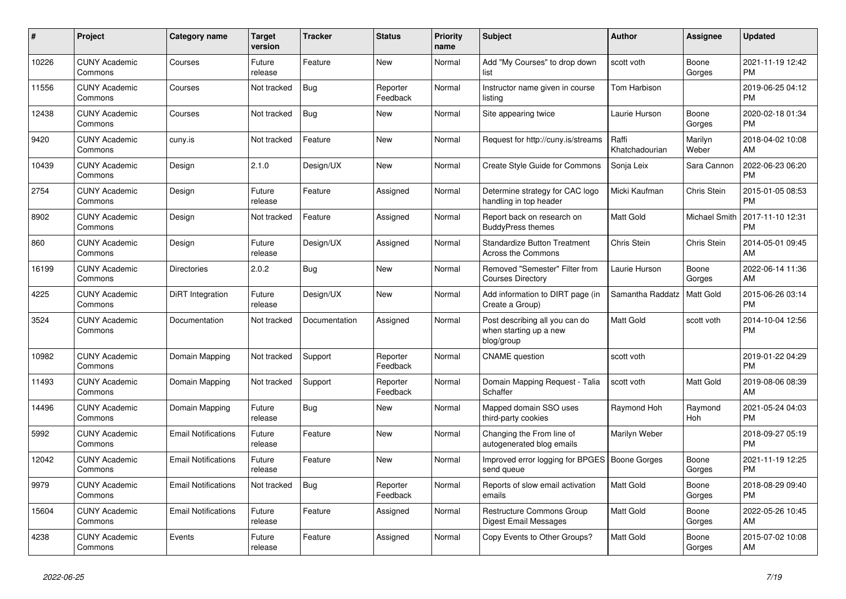| #     | Project                         | <b>Category name</b>       | Target<br>version | <b>Tracker</b> | <b>Status</b>        | <b>Priority</b><br>name | <b>Subject</b>                                                         | <b>Author</b>           | <b>Assignee</b>  | <b>Updated</b>                |
|-------|---------------------------------|----------------------------|-------------------|----------------|----------------------|-------------------------|------------------------------------------------------------------------|-------------------------|------------------|-------------------------------|
| 10226 | <b>CUNY Academic</b><br>Commons | Courses                    | Future<br>release | Feature        | <b>New</b>           | Normal                  | Add "My Courses" to drop down<br>list                                  | scott voth              | Boone<br>Gorges  | 2021-11-19 12:42<br><b>PM</b> |
| 11556 | <b>CUNY Academic</b><br>Commons | Courses                    | Not tracked       | Bug            | Reporter<br>Feedback | Normal                  | Instructor name given in course<br>listing                             | Tom Harbison            |                  | 2019-06-25 04:12<br><b>PM</b> |
| 12438 | <b>CUNY Academic</b><br>Commons | Courses                    | Not tracked       | <b>Bug</b>     | <b>New</b>           | Normal                  | Site appearing twice                                                   | Laurie Hurson           | Boone<br>Gorges  | 2020-02-18 01:34<br><b>PM</b> |
| 9420  | <b>CUNY Academic</b><br>Commons | cuny.is                    | Not tracked       | Feature        | <b>New</b>           | Normal                  | Request for http://cuny.is/streams                                     | Raffi<br>Khatchadourian | Marilyn<br>Weber | 2018-04-02 10:08<br>AM        |
| 10439 | <b>CUNY Academic</b><br>Commons | Design                     | 2.1.0             | Design/UX      | <b>New</b>           | Normal                  | <b>Create Style Guide for Commons</b>                                  | Sonja Leix              | Sara Cannon      | 2022-06-23 06:20<br><b>PM</b> |
| 2754  | <b>CUNY Academic</b><br>Commons | Design                     | Future<br>release | Feature        | Assigned             | Normal                  | Determine strategy for CAC logo<br>handling in top header              | Micki Kaufman           | Chris Stein      | 2015-01-05 08:53<br><b>PM</b> |
| 8902  | <b>CUNY Academic</b><br>Commons | Design                     | Not tracked       | Feature        | Assigned             | Normal                  | Report back on research on<br><b>BuddyPress themes</b>                 | Matt Gold               | Michael Smith    | 2017-11-10 12:31<br><b>PM</b> |
| 860   | <b>CUNY Academic</b><br>Commons | Design                     | Future<br>release | Design/UX      | Assigned             | Normal                  | <b>Standardize Button Treatment</b><br>Across the Commons              | Chris Stein             | Chris Stein      | 2014-05-01 09:45<br>AM        |
| 16199 | <b>CUNY Academic</b><br>Commons | <b>Directories</b>         | 2.0.2             | Bug            | <b>New</b>           | Normal                  | Removed "Semester" Filter from<br><b>Courses Directory</b>             | Laurie Hurson           | Boone<br>Gorges  | 2022-06-14 11:36<br>AM        |
| 4225  | <b>CUNY Academic</b><br>Commons | DiRT Integration           | Future<br>release | Design/UX      | <b>New</b>           | Normal                  | Add information to DIRT page (in<br>Create a Group)                    | Samantha Raddatz        | <b>Matt Gold</b> | 2015-06-26 03:14<br><b>PM</b> |
| 3524  | <b>CUNY Academic</b><br>Commons | Documentation              | Not tracked       | Documentation  | Assigned             | Normal                  | Post describing all you can do<br>when starting up a new<br>blog/group | Matt Gold               | scott voth       | 2014-10-04 12:56<br><b>PM</b> |
| 10982 | <b>CUNY Academic</b><br>Commons | Domain Mapping             | Not tracked       | Support        | Reporter<br>Feedback | Normal                  | <b>CNAME</b> question                                                  | scott voth              |                  | 2019-01-22 04:29<br><b>PM</b> |
| 11493 | <b>CUNY Academic</b><br>Commons | Domain Mapping             | Not tracked       | Support        | Reporter<br>Feedback | Normal                  | Domain Mapping Request - Talia<br>Schaffer                             | scott voth              | <b>Matt Gold</b> | 2019-08-06 08:39<br>AM        |
| 14496 | <b>CUNY Academic</b><br>Commons | Domain Mapping             | Future<br>release | <b>Bug</b>     | New                  | Normal                  | Mapped domain SSO uses<br>third-party cookies                          | Raymond Hoh             | Raymond<br>Hoh   | 2021-05-24 04:03<br><b>PM</b> |
| 5992  | <b>CUNY Academic</b><br>Commons | <b>Email Notifications</b> | Future<br>release | Feature        | New                  | Normal                  | Changing the From line of<br>autogenerated blog emails                 | Marilyn Weber           |                  | 2018-09-27 05:19<br><b>PM</b> |
| 12042 | <b>CUNY Academic</b><br>Commons | <b>Email Notifications</b> | Future<br>release | Feature        | New                  | Normal                  | Improved error logging for BPGES   Boone Gorges<br>send queue          |                         | Boone<br>Gorges  | 2021-11-19 12:25<br><b>PM</b> |
| 9979  | <b>CUNY Academic</b><br>Commons | <b>Email Notifications</b> | Not tracked       | <b>Bug</b>     | Reporter<br>Feedback | Normal                  | Reports of slow email activation<br>emails                             | Matt Gold               | Boone<br>Gorges  | 2018-08-29 09:40<br><b>PM</b> |
| 15604 | <b>CUNY Academic</b><br>Commons | <b>Email Notifications</b> | Future<br>release | Feature        | Assigned             | Normal                  | <b>Restructure Commons Group</b><br><b>Digest Email Messages</b>       | Matt Gold               | Boone<br>Gorges  | 2022-05-26 10:45<br>AM        |
| 4238  | <b>CUNY Academic</b><br>Commons | Events                     | Future<br>release | Feature        | Assigned             | Normal                  | Copy Events to Other Groups?                                           | Matt Gold               | Boone<br>Gorges  | 2015-07-02 10:08<br>AM        |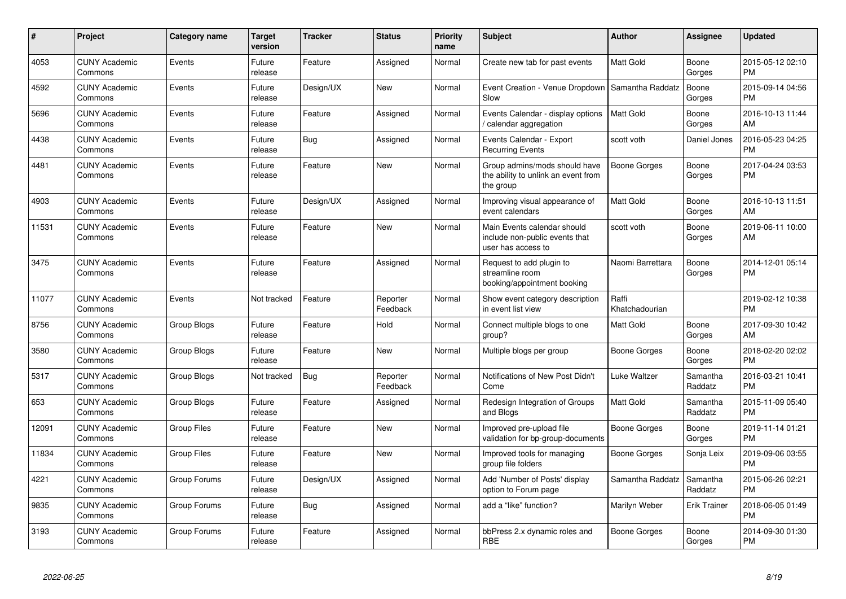| #     | Project                         | <b>Category name</b> | Target<br>version | <b>Tracker</b> | <b>Status</b>        | <b>Priority</b><br>name | <b>Subject</b>                                                                      | <b>Author</b>           | <b>Assignee</b>     | <b>Updated</b>                |
|-------|---------------------------------|----------------------|-------------------|----------------|----------------------|-------------------------|-------------------------------------------------------------------------------------|-------------------------|---------------------|-------------------------------|
| 4053  | <b>CUNY Academic</b><br>Commons | Events               | Future<br>release | Feature        | Assigned             | Normal                  | Create new tab for past events                                                      | <b>Matt Gold</b>        | Boone<br>Gorges     | 2015-05-12 02:10<br><b>PM</b> |
| 4592  | <b>CUNY Academic</b><br>Commons | Events               | Future<br>release | Design/UX      | <b>New</b>           | Normal                  | Event Creation - Venue Dropdown<br>Slow                                             | Samantha Raddatz        | Boone<br>Gorges     | 2015-09-14 04:56<br><b>PM</b> |
| 5696  | <b>CUNY Academic</b><br>Commons | Events               | Future<br>release | Feature        | Assigned             | Normal                  | Events Calendar - display options<br>calendar aggregation                           | Matt Gold               | Boone<br>Gorges     | 2016-10-13 11:44<br>AM        |
| 4438  | <b>CUNY Academic</b><br>Commons | Events               | Future<br>release | Bug            | Assigned             | Normal                  | Events Calendar - Export<br><b>Recurring Events</b>                                 | scott voth              | Daniel Jones        | 2016-05-23 04:25<br><b>PM</b> |
| 4481  | <b>CUNY Academic</b><br>Commons | Events               | Future<br>release | Feature        | New                  | Normal                  | Group admins/mods should have<br>the ability to unlink an event from<br>the group   | <b>Boone Gorges</b>     | Boone<br>Gorges     | 2017-04-24 03:53<br><b>PM</b> |
| 4903  | <b>CUNY Academic</b><br>Commons | Events               | Future<br>release | Design/UX      | Assigned             | Normal                  | Improving visual appearance of<br>event calendars                                   | Matt Gold               | Boone<br>Gorges     | 2016-10-13 11:51<br>AM        |
| 11531 | <b>CUNY Academic</b><br>Commons | Events               | Future<br>release | Feature        | <b>New</b>           | Normal                  | Main Events calendar should<br>include non-public events that<br>user has access to | scott voth              | Boone<br>Gorges     | 2019-06-11 10:00<br>AM        |
| 3475  | <b>CUNY Academic</b><br>Commons | Events               | Future<br>release | Feature        | Assigned             | Normal                  | Request to add plugin to<br>streamline room<br>booking/appointment booking          | Naomi Barrettara        | Boone<br>Gorges     | 2014-12-01 05:14<br><b>PM</b> |
| 11077 | <b>CUNY Academic</b><br>Commons | Events               | Not tracked       | Feature        | Reporter<br>Feedback | Normal                  | Show event category description<br>in event list view                               | Raffi<br>Khatchadourian |                     | 2019-02-12 10:38<br><b>PM</b> |
| 8756  | <b>CUNY Academic</b><br>Commons | Group Blogs          | Future<br>release | Feature        | Hold                 | Normal                  | Connect multiple blogs to one<br>group?                                             | Matt Gold               | Boone<br>Gorges     | 2017-09-30 10:42<br>AM        |
| 3580  | <b>CUNY Academic</b><br>Commons | Group Blogs          | Future<br>release | Feature        | <b>New</b>           | Normal                  | Multiple blogs per group                                                            | <b>Boone Gorges</b>     | Boone<br>Gorges     | 2018-02-20 02:02<br><b>PM</b> |
| 5317  | <b>CUNY Academic</b><br>Commons | Group Blogs          | Not tracked       | <b>Bug</b>     | Reporter<br>Feedback | Normal                  | Notifications of New Post Didn't<br>Come                                            | <b>Luke Waltzer</b>     | Samantha<br>Raddatz | 2016-03-21 10:41<br><b>PM</b> |
| 653   | <b>CUNY Academic</b><br>Commons | Group Blogs          | Future<br>release | Feature        | Assigned             | Normal                  | Redesign Integration of Groups<br>and Blogs                                         | Matt Gold               | Samantha<br>Raddatz | 2015-11-09 05:40<br><b>PM</b> |
| 12091 | <b>CUNY Academic</b><br>Commons | <b>Group Files</b>   | Future<br>release | Feature        | <b>New</b>           | Normal                  | Improved pre-upload file<br>validation for bp-group-documents                       | <b>Boone Gorges</b>     | Boone<br>Gorges     | 2019-11-14 01:21<br><b>PM</b> |
| 11834 | <b>CUNY Academic</b><br>Commons | <b>Group Files</b>   | Future<br>release | Feature        | <b>New</b>           | Normal                  | Improved tools for managing<br>group file folders                                   | Boone Gorges            | Sonja Leix          | 2019-09-06 03:55<br><b>PM</b> |
| 4221  | <b>CUNY Academic</b><br>Commons | Group Forums         | Future<br>release | Design/UX      | Assigned             | Normal                  | Add 'Number of Posts' display<br>option to Forum page                               | Samantha Raddatz        | Samantha<br>Raddatz | 2015-06-26 02:21<br><b>PM</b> |
| 9835  | <b>CUNY Academic</b><br>Commons | Group Forums         | Future<br>release | Bug            | Assigned             | Normal                  | add a "like" function?                                                              | Marilyn Weber           | <b>Erik Trainer</b> | 2018-06-05 01:49<br><b>PM</b> |
| 3193  | <b>CUNY Academic</b><br>Commons | Group Forums         | Future<br>release | Feature        | Assigned             | Normal                  | bbPress 2.x dynamic roles and<br><b>RBE</b>                                         | <b>Boone Gorges</b>     | Boone<br>Gorges     | 2014-09-30 01:30<br><b>PM</b> |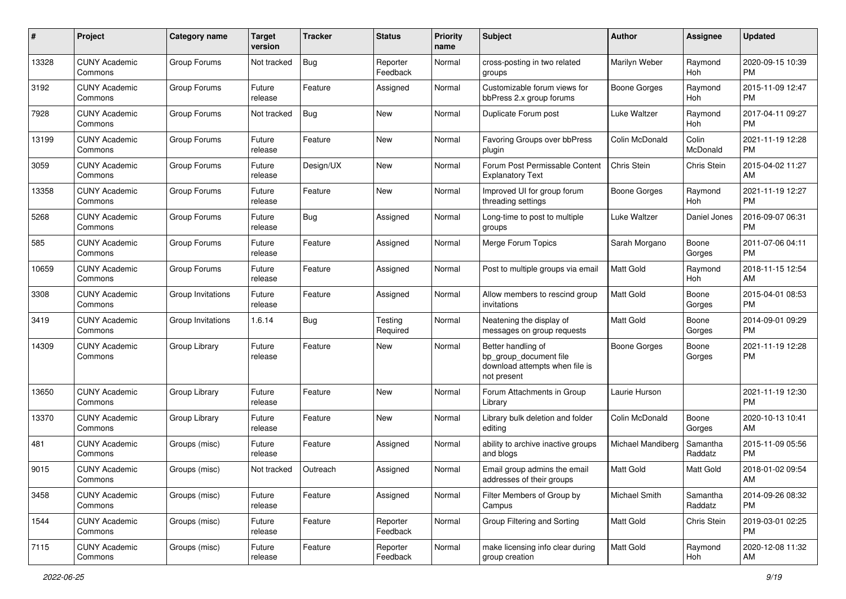| #     | Project                         | <b>Category name</b> | <b>Target</b><br>version | <b>Tracker</b> | <b>Status</b>        | <b>Priority</b><br>name | Subject                                                                                       | Author              | <b>Assignee</b>     | <b>Updated</b>                |
|-------|---------------------------------|----------------------|--------------------------|----------------|----------------------|-------------------------|-----------------------------------------------------------------------------------------------|---------------------|---------------------|-------------------------------|
| 13328 | <b>CUNY Academic</b><br>Commons | Group Forums         | Not tracked              | <b>Bug</b>     | Reporter<br>Feedback | Normal                  | cross-posting in two related<br>groups                                                        | Marilyn Weber       | Raymond<br>Hoh      | 2020-09-15 10:39<br>PM        |
| 3192  | <b>CUNY Academic</b><br>Commons | Group Forums         | Future<br>release        | Feature        | Assigned             | Normal                  | Customizable forum views for<br>bbPress 2.x group forums                                      | <b>Boone Gorges</b> | Raymond<br>Hoh      | 2015-11-09 12:47<br><b>PM</b> |
| 7928  | <b>CUNY Academic</b><br>Commons | Group Forums         | Not tracked              | Bug            | New                  | Normal                  | Duplicate Forum post                                                                          | Luke Waltzer        | Raymond<br>Hoh      | 2017-04-11 09:27<br><b>PM</b> |
| 13199 | <b>CUNY Academic</b><br>Commons | Group Forums         | Future<br>release        | Feature        | New                  | Normal                  | Favoring Groups over bbPress<br>plugin                                                        | Colin McDonald      | Colin<br>McDonald   | 2021-11-19 12:28<br>PM        |
| 3059  | <b>CUNY Academic</b><br>Commons | Group Forums         | Future<br>release        | Design/UX      | New                  | Normal                  | Forum Post Permissable Content<br><b>Explanatory Text</b>                                     | <b>Chris Stein</b>  | <b>Chris Stein</b>  | 2015-04-02 11:27<br>AM        |
| 13358 | <b>CUNY Academic</b><br>Commons | Group Forums         | Future<br>release        | Feature        | New                  | Normal                  | Improved UI for group forum<br>threading settings                                             | Boone Gorges        | Raymond<br>Hoh      | 2021-11-19 12:27<br><b>PM</b> |
| 5268  | <b>CUNY Academic</b><br>Commons | Group Forums         | Future<br>release        | Bug            | Assigned             | Normal                  | Long-time to post to multiple<br>groups                                                       | Luke Waltzer        | Daniel Jones        | 2016-09-07 06:31<br><b>PM</b> |
| 585   | <b>CUNY Academic</b><br>Commons | Group Forums         | Future<br>release        | Feature        | Assigned             | Normal                  | Merge Forum Topics                                                                            | Sarah Morgano       | Boone<br>Gorges     | 2011-07-06 04:11<br><b>PM</b> |
| 10659 | <b>CUNY Academic</b><br>Commons | Group Forums         | Future<br>release        | Feature        | Assigned             | Normal                  | Post to multiple groups via email                                                             | Matt Gold           | Raymond<br>Hoh      | 2018-11-15 12:54<br>AM        |
| 3308  | <b>CUNY Academic</b><br>Commons | Group Invitations    | Future<br>release        | Feature        | Assigned             | Normal                  | Allow members to rescind group<br>invitations                                                 | Matt Gold           | Boone<br>Gorges     | 2015-04-01 08:53<br><b>PM</b> |
| 3419  | <b>CUNY Academic</b><br>Commons | Group Invitations    | 1.6.14                   | <b>Bug</b>     | Testing<br>Required  | Normal                  | Neatening the display of<br>messages on group requests                                        | <b>Matt Gold</b>    | Boone<br>Gorges     | 2014-09-01 09:29<br>PM        |
| 14309 | <b>CUNY Academic</b><br>Commons | Group Library        | Future<br>release        | Feature        | New                  | Normal                  | Better handling of<br>bp_group_document file<br>download attempts when file is<br>not present | Boone Gorges        | Boone<br>Gorges     | 2021-11-19 12:28<br>PM        |
| 13650 | <b>CUNY Academic</b><br>Commons | Group Library        | Future<br>release        | Feature        | New                  | Normal                  | Forum Attachments in Group<br>Library                                                         | Laurie Hurson       |                     | 2021-11-19 12:30<br><b>PM</b> |
| 13370 | <b>CUNY Academic</b><br>Commons | Group Library        | Future<br>release        | Feature        | New                  | Normal                  | Library bulk deletion and folder<br>editing                                                   | Colin McDonald      | Boone<br>Gorges     | 2020-10-13 10:41<br>AM        |
| 481   | <b>CUNY Academic</b><br>Commons | Groups (misc)        | Future<br>release        | Feature        | Assigned             | Normal                  | ability to archive inactive groups<br>and blogs                                               | Michael Mandiberg   | Samantha<br>Raddatz | 2015-11-09 05:56<br><b>PM</b> |
| 9015  | <b>CUNY Academic</b><br>Commons | Groups (misc)        | Not tracked              | Outreach       | Assigned             | Normal                  | Email group admins the email<br>addresses of their groups                                     | Matt Gold           | Matt Gold           | 2018-01-02 09:54<br>AM        |
| 3458  | <b>CUNY Academic</b><br>Commons | Groups (misc)        | Future<br>release        | Feature        | Assigned             | Normal                  | Filter Members of Group by<br>Campus                                                          | Michael Smith       | Samantha<br>Raddatz | 2014-09-26 08:32<br>PM        |
| 1544  | <b>CUNY Academic</b><br>Commons | Groups (misc)        | Future<br>release        | Feature        | Reporter<br>Feedback | Normal                  | Group Filtering and Sorting                                                                   | Matt Gold           | Chris Stein         | 2019-03-01 02:25<br><b>PM</b> |
| 7115  | <b>CUNY Academic</b><br>Commons | Groups (misc)        | Future<br>release        | Feature        | Reporter<br>Feedback | Normal                  | make licensing info clear during<br>group creation                                            | Matt Gold           | Raymond<br>Hoh      | 2020-12-08 11:32<br>AM        |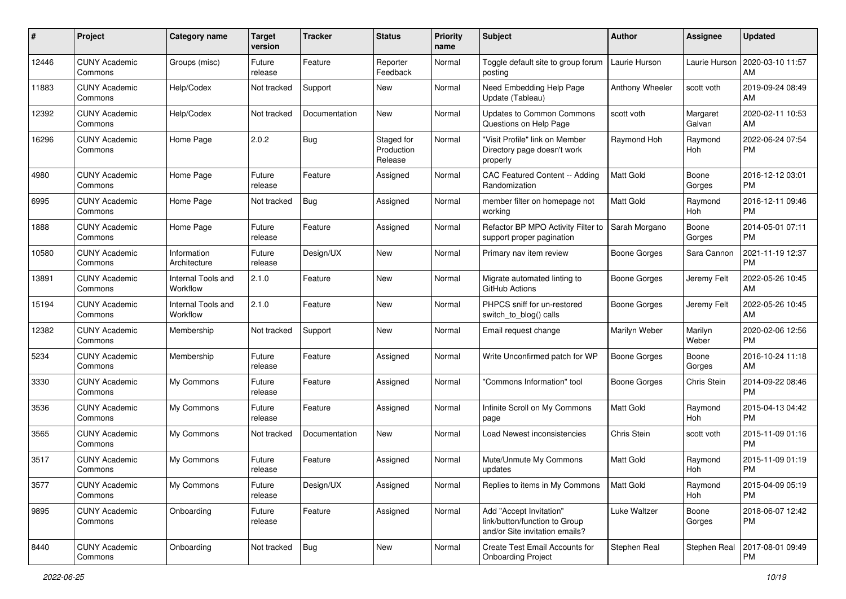| #     | Project                         | <b>Category name</b>           | <b>Target</b><br>version | <b>Tracker</b> | <b>Status</b>                       | <b>Priority</b><br>name | Subject                                                                                    | Author              | <b>Assignee</b>    | <b>Updated</b>                |
|-------|---------------------------------|--------------------------------|--------------------------|----------------|-------------------------------------|-------------------------|--------------------------------------------------------------------------------------------|---------------------|--------------------|-------------------------------|
| 12446 | <b>CUNY Academic</b><br>Commons | Groups (misc)                  | Future<br>release        | Feature        | Reporter<br>Feedback                | Normal                  | Toggle default site to group forum<br>posting                                              | Laurie Hurson       | Laurie Hurson      | 2020-03-10 11:57<br>AM        |
| 11883 | <b>CUNY Academic</b><br>Commons | Help/Codex                     | Not tracked              | Support        | New                                 | Normal                  | Need Embedding Help Page<br>Update (Tableau)                                               | Anthony Wheeler     | scott voth         | 2019-09-24 08:49<br>AM        |
| 12392 | <b>CUNY Academic</b><br>Commons | Help/Codex                     | Not tracked              | Documentation  | New                                 | Normal                  | Updates to Common Commons<br>Questions on Help Page                                        | scott voth          | Margaret<br>Galvan | 2020-02-11 10:53<br>AM        |
| 16296 | <b>CUNY Academic</b><br>Commons | Home Page                      | 2.0.2                    | <b>Bug</b>     | Staged for<br>Production<br>Release | Normal                  | "Visit Profile" link on Member<br>Directory page doesn't work<br>properly                  | Raymond Hoh         | Raymond<br>Hoh     | 2022-06-24 07:54<br><b>PM</b> |
| 4980  | <b>CUNY Academic</b><br>Commons | Home Page                      | Future<br>release        | Feature        | Assigned                            | Normal                  | CAC Featured Content -- Adding<br>Randomization                                            | <b>Matt Gold</b>    | Boone<br>Gorges    | 2016-12-12 03:01<br><b>PM</b> |
| 6995  | <b>CUNY Academic</b><br>Commons | Home Page                      | Not tracked              | <b>Bug</b>     | Assigned                            | Normal                  | member filter on homepage not<br>working                                                   | <b>Matt Gold</b>    | Raymond<br>Hoh     | 2016-12-11 09:46<br><b>PM</b> |
| 1888  | <b>CUNY Academic</b><br>Commons | Home Page                      | Future<br>release        | Feature        | Assigned                            | Normal                  | Refactor BP MPO Activity Filter to<br>support proper pagination                            | Sarah Morgano       | Boone<br>Gorges    | 2014-05-01 07:11<br><b>PM</b> |
| 10580 | <b>CUNY Academic</b><br>Commons | Information<br>Architecture    | Future<br>release        | Design/UX      | New                                 | Normal                  | Primary nav item review                                                                    | Boone Gorges        | Sara Cannon        | 2021-11-19 12:37<br><b>PM</b> |
| 13891 | <b>CUNY Academic</b><br>Commons | Internal Tools and<br>Workflow | 2.1.0                    | Feature        | <b>New</b>                          | Normal                  | Migrate automated linting to<br>GitHub Actions                                             | Boone Gorges        | Jeremy Felt        | 2022-05-26 10:45<br>AM        |
| 15194 | <b>CUNY Academic</b><br>Commons | Internal Tools and<br>Workflow | 2.1.0                    | Feature        | New                                 | Normal                  | PHPCS sniff for un-restored<br>switch_to_blog() calls                                      | <b>Boone Gorges</b> | Jeremy Felt        | 2022-05-26 10:45<br>AM        |
| 12382 | <b>CUNY Academic</b><br>Commons | Membership                     | Not tracked              | Support        | New                                 | Normal                  | Email request change                                                                       | Marilyn Weber       | Marilyn<br>Weber   | 2020-02-06 12:56<br><b>PM</b> |
| 5234  | <b>CUNY Academic</b><br>Commons | Membership                     | Future<br>release        | Feature        | Assigned                            | Normal                  | Write Unconfirmed patch for WP                                                             | <b>Boone Gorges</b> | Boone<br>Gorges    | 2016-10-24 11:18<br>AM        |
| 3330  | <b>CUNY Academic</b><br>Commons | My Commons                     | Future<br>release        | Feature        | Assigned                            | Normal                  | "Commons Information" tool                                                                 | Boone Gorges        | Chris Stein        | 2014-09-22 08:46<br><b>PM</b> |
| 3536  | <b>CUNY Academic</b><br>Commons | My Commons                     | Future<br>release        | Feature        | Assigned                            | Normal                  | Infinite Scroll on My Commons<br>page                                                      | <b>Matt Gold</b>    | Raymond<br>Hoh     | 2015-04-13 04:42<br><b>PM</b> |
| 3565  | <b>CUNY Academic</b><br>Commons | My Commons                     | Not tracked              | Documentation  | New                                 | Normal                  | Load Newest inconsistencies                                                                | Chris Stein         | scott voth         | 2015-11-09 01:16<br><b>PM</b> |
| 3517  | <b>CUNY Academic</b><br>Commons | My Commons                     | Future<br>release        | Feature        | Assigned                            | Normal                  | Mute/Unmute My Commons<br>updates                                                          | Matt Gold           | Raymond<br>Hoh     | 2015-11-09 01:19<br><b>PM</b> |
| 3577  | <b>CUNY Academic</b><br>Commons | My Commons                     | Future<br>release        | Design/UX      | Assigned                            | Normal                  | Replies to items in My Commons                                                             | Matt Gold           | Raymond<br>Hoh     | 2015-04-09 05:19<br>PM        |
| 9895  | <b>CUNY Academic</b><br>Commons | Onboarding                     | Future<br>release        | Feature        | Assigned                            | Normal                  | Add "Accept Invitation"<br>link/button/function to Group<br>and/or Site invitation emails? | Luke Waltzer        | Boone<br>Gorges    | 2018-06-07 12:42<br>PM        |
| 8440  | <b>CUNY Academic</b><br>Commons | Onboarding                     | Not tracked              | Bug            | New                                 | Normal                  | Create Test Email Accounts for<br><b>Onboarding Project</b>                                | Stephen Real        | Stephen Real       | 2017-08-01 09:49<br>PM        |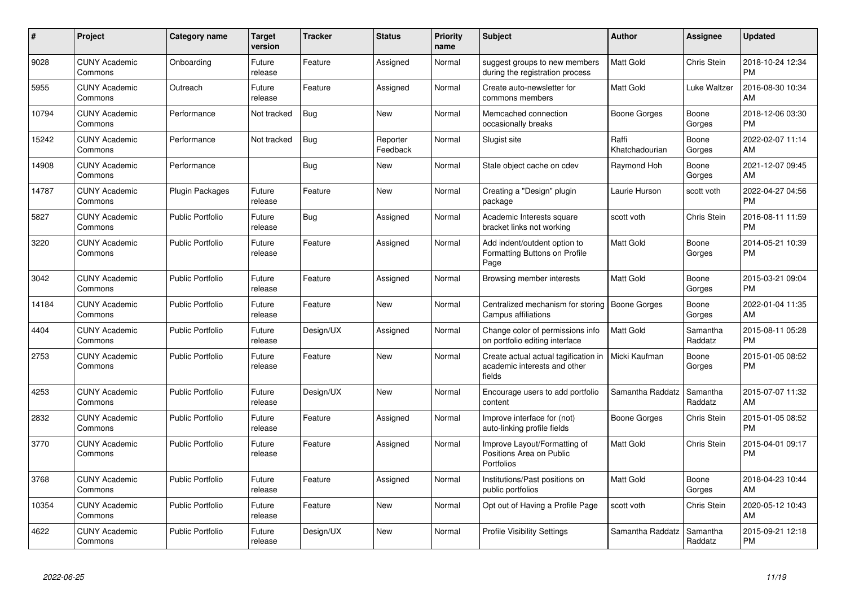| $\#$  | <b>Project</b>                  | Category name           | <b>Target</b><br>version | <b>Tracker</b> | <b>Status</b>        | <b>Priority</b><br>name | <b>Subject</b>                                                                 | Author                  | Assignee            | <b>Updated</b>                |
|-------|---------------------------------|-------------------------|--------------------------|----------------|----------------------|-------------------------|--------------------------------------------------------------------------------|-------------------------|---------------------|-------------------------------|
| 9028  | <b>CUNY Academic</b><br>Commons | Onboarding              | Future<br>release        | Feature        | Assigned             | Normal                  | suggest groups to new members<br>during the registration process               | <b>Matt Gold</b>        | Chris Stein         | 2018-10-24 12:34<br><b>PM</b> |
| 5955  | <b>CUNY Academic</b><br>Commons | Outreach                | Future<br>release        | Feature        | Assigned             | Normal                  | Create auto-newsletter for<br>commons members                                  | Matt Gold               | Luke Waltzer        | 2016-08-30 10:34<br>AM        |
| 10794 | <b>CUNY Academic</b><br>Commons | Performance             | Not tracked              | Bug            | <b>New</b>           | Normal                  | Memcached connection<br>occasionally breaks                                    | Boone Gorges            | Boone<br>Gorges     | 2018-12-06 03:30<br><b>PM</b> |
| 15242 | <b>CUNY Academic</b><br>Commons | Performance             | Not tracked              | <b>Bug</b>     | Reporter<br>Feedback | Normal                  | Slugist site                                                                   | Raffi<br>Khatchadourian | Boone<br>Gorges     | 2022-02-07 11:14<br>AM        |
| 14908 | <b>CUNY Academic</b><br>Commons | Performance             |                          | <b>Bug</b>     | <b>New</b>           | Normal                  | Stale object cache on cdev                                                     | Raymond Hoh             | Boone<br>Gorges     | 2021-12-07 09:45<br>AM        |
| 14787 | <b>CUNY Academic</b><br>Commons | <b>Plugin Packages</b>  | Future<br>release        | Feature        | <b>New</b>           | Normal                  | Creating a "Design" plugin<br>package                                          | Laurie Hurson           | scott voth          | 2022-04-27 04:56<br><b>PM</b> |
| 5827  | <b>CUNY Academic</b><br>Commons | <b>Public Portfolio</b> | Future<br>release        | <b>Bug</b>     | Assigned             | Normal                  | Academic Interests square<br>bracket links not working                         | scott voth              | Chris Stein         | 2016-08-11 11:59<br><b>PM</b> |
| 3220  | <b>CUNY Academic</b><br>Commons | <b>Public Portfolio</b> | Future<br>release        | Feature        | Assigned             | Normal                  | Add indent/outdent option to<br>Formatting Buttons on Profile<br>Page          | <b>Matt Gold</b>        | Boone<br>Gorges     | 2014-05-21 10:39<br><b>PM</b> |
| 3042  | <b>CUNY Academic</b><br>Commons | <b>Public Portfolio</b> | Future<br>release        | Feature        | Assigned             | Normal                  | Browsing member interests                                                      | <b>Matt Gold</b>        | Boone<br>Gorges     | 2015-03-21 09:04<br><b>PM</b> |
| 14184 | <b>CUNY Academic</b><br>Commons | <b>Public Portfolio</b> | Future<br>release        | Feature        | <b>New</b>           | Normal                  | Centralized mechanism for storing<br>Campus affiliations                       | <b>Boone Gorges</b>     | Boone<br>Gorges     | 2022-01-04 11:35<br>AM        |
| 4404  | <b>CUNY Academic</b><br>Commons | <b>Public Portfolio</b> | Future<br>release        | Design/UX      | Assigned             | Normal                  | Change color of permissions info<br>on portfolio editing interface             | <b>Matt Gold</b>        | Samantha<br>Raddatz | 2015-08-11 05:28<br><b>PM</b> |
| 2753  | <b>CUNY Academic</b><br>Commons | <b>Public Portfolio</b> | Future<br>release        | Feature        | <b>New</b>           | Normal                  | Create actual actual tagification in<br>academic interests and other<br>fields | Micki Kaufman           | Boone<br>Gorges     | 2015-01-05 08:52<br><b>PM</b> |
| 4253  | <b>CUNY Academic</b><br>Commons | <b>Public Portfolio</b> | Future<br>release        | Design/UX      | <b>New</b>           | Normal                  | Encourage users to add portfolio<br>content                                    | Samantha Raddatz        | Samantha<br>Raddatz | 2015-07-07 11:32<br>AM        |
| 2832  | <b>CUNY Academic</b><br>Commons | <b>Public Portfolio</b> | Future<br>release        | Feature        | Assigned             | Normal                  | Improve interface for (not)<br>auto-linking profile fields                     | Boone Gorges            | Chris Stein         | 2015-01-05 08:52<br><b>PM</b> |
| 3770  | <b>CUNY Academic</b><br>Commons | <b>Public Portfolio</b> | Future<br>release        | Feature        | Assigned             | Normal                  | Improve Layout/Formatting of<br>Positions Area on Public<br>Portfolios         | <b>Matt Gold</b>        | Chris Stein         | 2015-04-01 09:17<br><b>PM</b> |
| 3768  | <b>CUNY Academic</b><br>Commons | <b>Public Portfolio</b> | Future<br>release        | Feature        | Assigned             | Normal                  | Institutions/Past positions on<br>public portfolios                            | <b>Matt Gold</b>        | Boone<br>Gorges     | 2018-04-23 10:44<br>AM        |
| 10354 | <b>CUNY Academic</b><br>Commons | Public Portfolio        | Future<br>release        | Feature        | <b>New</b>           | Normal                  | Opt out of Having a Profile Page                                               | scott voth              | Chris Stein         | 2020-05-12 10:43<br>AM        |
| 4622  | <b>CUNY Academic</b><br>Commons | <b>Public Portfolio</b> | Future<br>release        | Design/UX      | <b>New</b>           | Normal                  | Profile Visibility Settings                                                    | Samantha Raddatz        | Samantha<br>Raddatz | 2015-09-21 12:18<br>PM        |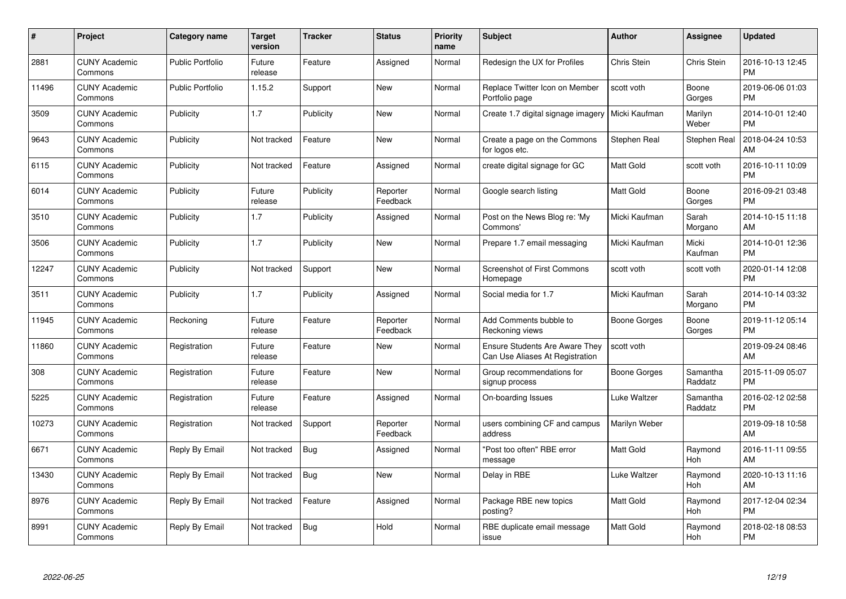| $\pmb{\#}$ | Project                         | <b>Category name</b>    | <b>Target</b><br>version | <b>Tracker</b> | <b>Status</b>        | <b>Priority</b><br>name | <b>Subject</b>                                                           | Author           | <b>Assignee</b>       | <b>Updated</b>                |
|------------|---------------------------------|-------------------------|--------------------------|----------------|----------------------|-------------------------|--------------------------------------------------------------------------|------------------|-----------------------|-------------------------------|
| 2881       | <b>CUNY Academic</b><br>Commons | <b>Public Portfolio</b> | Future<br>release        | Feature        | Assigned             | Normal                  | Redesign the UX for Profiles                                             | Chris Stein      | Chris Stein           | 2016-10-13 12:45<br><b>PM</b> |
| 11496      | <b>CUNY Academic</b><br>Commons | <b>Public Portfolio</b> | 1.15.2                   | Support        | <b>New</b>           | Normal                  | Replace Twitter Icon on Member<br>Portfolio page                         | scott voth       | Boone<br>Gorges       | 2019-06-06 01:03<br><b>PM</b> |
| 3509       | <b>CUNY Academic</b><br>Commons | Publicity               | 1.7                      | Publicity      | <b>New</b>           | Normal                  | Create 1.7 digital signage imagery                                       | Micki Kaufman    | Marilyn<br>Weber      | 2014-10-01 12:40<br><b>PM</b> |
| 9643       | <b>CUNY Academic</b><br>Commons | Publicity               | Not tracked              | Feature        | <b>New</b>           | Normal                  | Create a page on the Commons<br>for logos etc.                           | Stephen Real     | Stephen Real          | 2018-04-24 10:53<br>AM        |
| 6115       | <b>CUNY Academic</b><br>Commons | Publicity               | Not tracked              | Feature        | Assigned             | Normal                  | create digital signage for GC                                            | Matt Gold        | scott voth            | 2016-10-11 10:09<br><b>PM</b> |
| 6014       | <b>CUNY Academic</b><br>Commons | Publicity               | Future<br>release        | Publicity      | Reporter<br>Feedback | Normal                  | Google search listing                                                    | Matt Gold        | Boone<br>Gorges       | 2016-09-21 03:48<br><b>PM</b> |
| 3510       | <b>CUNY Academic</b><br>Commons | Publicity               | 1.7                      | Publicity      | Assigned             | Normal                  | Post on the News Blog re: 'My<br>Commons'                                | Micki Kaufman    | Sarah<br>Morgano      | 2014-10-15 11:18<br>AM        |
| 3506       | <b>CUNY Academic</b><br>Commons | Publicity               | 1.7                      | Publicity      | <b>New</b>           | Normal                  | Prepare 1.7 email messaging                                              | Micki Kaufman    | Micki<br>Kaufman      | 2014-10-01 12:36<br><b>PM</b> |
| 12247      | <b>CUNY Academic</b><br>Commons | Publicity               | Not tracked              | Support        | <b>New</b>           | Normal                  | <b>Screenshot of First Commons</b><br>Homepage                           | scott voth       | scott voth            | 2020-01-14 12:08<br><b>PM</b> |
| 3511       | <b>CUNY Academic</b><br>Commons | Publicity               | 1.7                      | Publicity      | Assigned             | Normal                  | Social media for 1.7                                                     | Micki Kaufman    | Sarah<br>Morgano      | 2014-10-14 03:32<br>PM        |
| 11945      | <b>CUNY Academic</b><br>Commons | Reckoning               | Future<br>release        | Feature        | Reporter<br>Feedback | Normal                  | Add Comments bubble to<br>Reckoning views                                | Boone Gorges     | Boone<br>Gorges       | 2019-11-12 05:14<br><b>PM</b> |
| 11860      | <b>CUNY Academic</b><br>Commons | Registration            | Future<br>release        | Feature        | <b>New</b>           | Normal                  | <b>Ensure Students Are Aware They</b><br>Can Use Aliases At Registration | scott voth       |                       | 2019-09-24 08:46<br>AM        |
| 308        | <b>CUNY Academic</b><br>Commons | Registration            | Future<br>release        | Feature        | New                  | Normal                  | Group recommendations for<br>signup process                              | Boone Gorges     | Samantha<br>Raddatz   | 2015-11-09 05:07<br><b>PM</b> |
| 5225       | <b>CUNY Academic</b><br>Commons | Registration            | Future<br>release        | Feature        | Assigned             | Normal                  | On-boarding Issues                                                       | Luke Waltzer     | Samantha<br>Raddatz   | 2016-02-12 02:58<br><b>PM</b> |
| 10273      | <b>CUNY Academic</b><br>Commons | Registration            | Not tracked              | Support        | Reporter<br>Feedback | Normal                  | users combining CF and campus<br>address                                 | Marilyn Weber    |                       | 2019-09-18 10:58<br>AM        |
| 6671       | <b>CUNY Academic</b><br>Commons | Reply By Email          | Not tracked              | <b>Bug</b>     | Assigned             | Normal                  | "Post too often" RBE error<br>message                                    | <b>Matt Gold</b> | Raymond<br><b>Hoh</b> | 2016-11-11 09:55<br>AM        |
| 13430      | <b>CUNY Academic</b><br>Commons | Reply By Email          | Not tracked              | <b>Bug</b>     | New                  | Normal                  | Delay in RBE                                                             | Luke Waltzer     | Raymond<br>Hoh        | 2020-10-13 11:16<br>AM        |
| 8976       | <b>CUNY Academic</b><br>Commons | Reply By Email          | Not tracked              | Feature        | Assigned             | Normal                  | Package RBE new topics<br>posting?                                       | Matt Gold        | Raymond<br>Hoh        | 2017-12-04 02:34<br><b>PM</b> |
| 8991       | CUNY Academic<br>Commons        | Reply By Email          | Not tracked              | Bug            | Hold                 | Normal                  | RBE duplicate email message<br>issue                                     | <b>Matt Gold</b> | Raymond<br>Hoh        | 2018-02-18 08:53<br>PM        |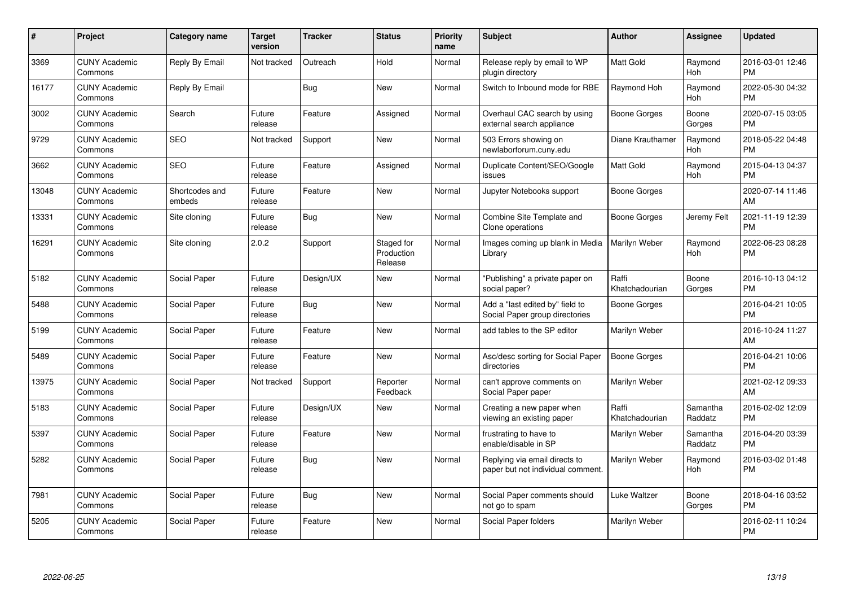| #     | Project                         | <b>Category name</b>     | <b>Target</b><br>version | <b>Tracker</b> | <b>Status</b>                       | <b>Priority</b><br>name | <b>Subject</b>                                                     | <b>Author</b>           | <b>Assignee</b>       | <b>Updated</b>                |
|-------|---------------------------------|--------------------------|--------------------------|----------------|-------------------------------------|-------------------------|--------------------------------------------------------------------|-------------------------|-----------------------|-------------------------------|
| 3369  | <b>CUNY Academic</b><br>Commons | Reply By Email           | Not tracked              | Outreach       | Hold                                | Normal                  | Release reply by email to WP<br>plugin directory                   | <b>Matt Gold</b>        | Raymond<br>Hoh        | 2016-03-01 12:46<br><b>PM</b> |
| 16177 | <b>CUNY Academic</b><br>Commons | Reply By Email           |                          | <b>Bug</b>     | New                                 | Normal                  | Switch to Inbound mode for RBE                                     | Raymond Hoh             | Raymond<br>Hoh        | 2022-05-30 04:32<br><b>PM</b> |
| 3002  | <b>CUNY Academic</b><br>Commons | Search                   | Future<br>release        | Feature        | Assigned                            | Normal                  | Overhaul CAC search by using<br>external search appliance          | Boone Gorges            | Boone<br>Gorges       | 2020-07-15 03:05<br><b>PM</b> |
| 9729  | <b>CUNY Academic</b><br>Commons | <b>SEO</b>               | Not tracked              | Support        | New                                 | Normal                  | 503 Errors showing on<br>newlaborforum.cuny.edu                    | Diane Krauthamer        | Raymond<br>Hoh        | 2018-05-22 04:48<br><b>PM</b> |
| 3662  | <b>CUNY Academic</b><br>Commons | <b>SEO</b>               | Future<br>release        | Feature        | Assigned                            | Normal                  | Duplicate Content/SEO/Google<br>issues                             | Matt Gold               | Raymond<br>Hoh        | 2015-04-13 04:37<br><b>PM</b> |
| 13048 | <b>CUNY Academic</b><br>Commons | Shortcodes and<br>embeds | Future<br>release        | Feature        | New                                 | Normal                  | Jupyter Notebooks support                                          | Boone Gorges            |                       | 2020-07-14 11:46<br>AM        |
| 13331 | <b>CUNY Academic</b><br>Commons | Site cloning             | Future<br>release        | Bug            | <b>New</b>                          | Normal                  | Combine Site Template and<br>Clone operations                      | Boone Gorges            | Jeremy Felt           | 2021-11-19 12:39<br><b>PM</b> |
| 16291 | <b>CUNY Academic</b><br>Commons | Site cloning             | 2.0.2                    | Support        | Staged for<br>Production<br>Release | Normal                  | Images coming up blank in Media<br>Library                         | Marilyn Weber           | Raymond<br>Hoh        | 2022-06-23 08:28<br><b>PM</b> |
| 5182  | <b>CUNY Academic</b><br>Commons | Social Paper             | Future<br>release        | Design/UX      | <b>New</b>                          | Normal                  | "Publishing" a private paper on<br>social paper?                   | Raffi<br>Khatchadourian | Boone<br>Gorges       | 2016-10-13 04:12<br><b>PM</b> |
| 5488  | <b>CUNY Academic</b><br>Commons | Social Paper             | Future<br>release        | Bug            | <b>New</b>                          | Normal                  | Add a "last edited by" field to<br>Social Paper group directories  | Boone Gorges            |                       | 2016-04-21 10:05<br><b>PM</b> |
| 5199  | <b>CUNY Academic</b><br>Commons | Social Paper             | Future<br>release        | Feature        | <b>New</b>                          | Normal                  | add tables to the SP editor                                        | Marilyn Weber           |                       | 2016-10-24 11:27<br>AM        |
| 5489  | <b>CUNY Academic</b><br>Commons | Social Paper             | Future<br>release        | Feature        | <b>New</b>                          | Normal                  | Asc/desc sorting for Social Paper<br>directories                   | Boone Gorges            |                       | 2016-04-21 10:06<br><b>PM</b> |
| 13975 | <b>CUNY Academic</b><br>Commons | Social Paper             | Not tracked              | Support        | Reporter<br>Feedback                | Normal                  | can't approve comments on<br>Social Paper paper                    | Marilyn Weber           |                       | 2021-02-12 09:33<br>AM        |
| 5183  | <b>CUNY Academic</b><br>Commons | Social Paper             | Future<br>release        | Design/UX      | <b>New</b>                          | Normal                  | Creating a new paper when<br>viewing an existing paper             | Raffi<br>Khatchadourian | Samantha<br>Raddatz   | 2016-02-02 12:09<br><b>PM</b> |
| 5397  | <b>CUNY Academic</b><br>Commons | Social Paper             | Future<br>release        | Feature        | <b>New</b>                          | Normal                  | frustrating to have to<br>enable/disable in SP                     | Marilyn Weber           | Samantha<br>Raddatz   | 2016-04-20 03:39<br><b>PM</b> |
| 5282  | <b>CUNY Academic</b><br>Commons | Social Paper             | Future<br>release        | <b>Bug</b>     | <b>New</b>                          | Normal                  | Replying via email directs to<br>paper but not individual comment. | Marilyn Weber           | Raymond<br><b>Hoh</b> | 2016-03-02 01:48<br><b>PM</b> |
| 7981  | <b>CUNY Academic</b><br>Commons | Social Paper             | Future<br>release        | <b>Bug</b>     | New                                 | Normal                  | Social Paper comments should<br>not go to spam                     | Luke Waltzer            | Boone<br>Gorges       | 2018-04-16 03:52<br><b>PM</b> |
| 5205  | <b>CUNY Academic</b><br>Commons | Social Paper             | Future<br>release        | Feature        | <b>New</b>                          | Normal                  | Social Paper folders                                               | Marilyn Weber           |                       | 2016-02-11 10:24<br><b>PM</b> |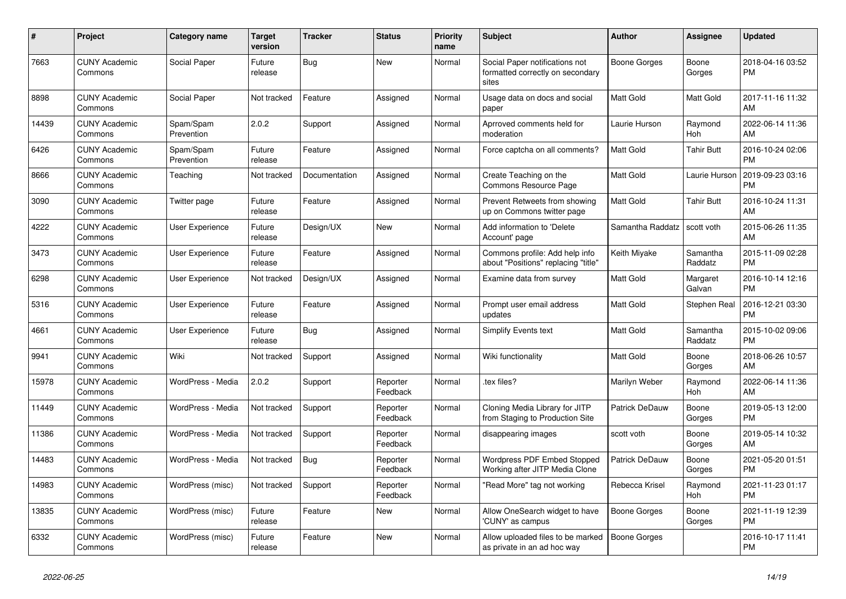| #     | <b>Project</b>                  | Category name           | <b>Target</b><br>version | <b>Tracker</b> | <b>Status</b>        | <b>Priority</b><br>name | <b>Subject</b>                                                              | <b>Author</b>         | <b>Assignee</b>       | <b>Updated</b>                |
|-------|---------------------------------|-------------------------|--------------------------|----------------|----------------------|-------------------------|-----------------------------------------------------------------------------|-----------------------|-----------------------|-------------------------------|
| 7663  | <b>CUNY Academic</b><br>Commons | Social Paper            | Future<br>release        | <b>Bug</b>     | <b>New</b>           | Normal                  | Social Paper notifications not<br>formatted correctly on secondary<br>sites | Boone Gorges          | Boone<br>Gorges       | 2018-04-16 03:52<br><b>PM</b> |
| 8898  | <b>CUNY Academic</b><br>Commons | Social Paper            | Not tracked              | Feature        | Assigned             | Normal                  | Usage data on docs and social<br>paper                                      | Matt Gold             | Matt Gold             | 2017-11-16 11:32<br>AM        |
| 14439 | <b>CUNY Academic</b><br>Commons | Spam/Spam<br>Prevention | 2.0.2                    | Support        | Assigned             | Normal                  | Aprroved comments held for<br>moderation                                    | Laurie Hurson         | Raymond<br><b>Hoh</b> | 2022-06-14 11:36<br>AM        |
| 6426  | <b>CUNY Academic</b><br>Commons | Spam/Spam<br>Prevention | Future<br>release        | Feature        | Assigned             | Normal                  | Force captcha on all comments?                                              | <b>Matt Gold</b>      | <b>Tahir Butt</b>     | 2016-10-24 02:06<br><b>PM</b> |
| 8666  | <b>CUNY Academic</b><br>Commons | Teaching                | Not tracked              | Documentation  | Assigned             | Normal                  | Create Teaching on the<br>Commons Resource Page                             | <b>Matt Gold</b>      | Laurie Hurson         | 2019-09-23 03:16<br><b>PM</b> |
| 3090  | <b>CUNY Academic</b><br>Commons | Twitter page            | Future<br>release        | Feature        | Assigned             | Normal                  | Prevent Retweets from showing<br>up on Commons twitter page                 | <b>Matt Gold</b>      | <b>Tahir Butt</b>     | 2016-10-24 11:31<br>AM        |
| 4222  | <b>CUNY Academic</b><br>Commons | User Experience         | Future<br>release        | Design/UX      | <b>New</b>           | Normal                  | Add information to 'Delete<br>Account' page                                 | Samantha Raddatz      | scott voth            | 2015-06-26 11:35<br>AM        |
| 3473  | <b>CUNY Academic</b><br>Commons | User Experience         | Future<br>release        | Feature        | Assigned             | Normal                  | Commons profile: Add help info<br>about "Positions" replacing "title"       | Keith Miyake          | Samantha<br>Raddatz   | 2015-11-09 02:28<br><b>PM</b> |
| 6298  | <b>CUNY Academic</b><br>Commons | User Experience         | Not tracked              | Design/UX      | Assigned             | Normal                  | Examine data from survey                                                    | <b>Matt Gold</b>      | Margaret<br>Galvan    | 2016-10-14 12:16<br><b>PM</b> |
| 5316  | <b>CUNY Academic</b><br>Commons | <b>User Experience</b>  | Future<br>release        | Feature        | Assigned             | Normal                  | Prompt user email address<br>updates                                        | Matt Gold             | Stephen Real          | 2016-12-21 03:30<br><b>PM</b> |
| 4661  | <b>CUNY Academic</b><br>Commons | User Experience         | Future<br>release        | Bug            | Assigned             | Normal                  | <b>Simplify Events text</b>                                                 | <b>Matt Gold</b>      | Samantha<br>Raddatz   | 2015-10-02 09:06<br><b>PM</b> |
| 9941  | <b>CUNY Academic</b><br>Commons | Wiki                    | Not tracked              | Support        | Assigned             | Normal                  | Wiki functionality                                                          | <b>Matt Gold</b>      | Boone<br>Gorges       | 2018-06-26 10:57<br>AM        |
| 15978 | <b>CUNY Academic</b><br>Commons | WordPress - Media       | 2.0.2                    | Support        | Reporter<br>Feedback | Normal                  | tex files?                                                                  | Marilyn Weber         | Raymond<br>Hoh        | 2022-06-14 11:36<br>AM        |
| 11449 | <b>CUNY Academic</b><br>Commons | WordPress - Media       | Not tracked              | Support        | Reporter<br>Feedback | Normal                  | Cloning Media Library for JITP<br>from Staging to Production Site           | <b>Patrick DeDauw</b> | Boone<br>Gorges       | 2019-05-13 12:00<br><b>PM</b> |
| 11386 | <b>CUNY Academic</b><br>Commons | WordPress - Media       | Not tracked              | Support        | Reporter<br>Feedback | Normal                  | disappearing images                                                         | scott voth            | Boone<br>Gorges       | 2019-05-14 10:32<br>AM        |
| 14483 | <b>CUNY Academic</b><br>Commons | WordPress - Media       | Not tracked              | <b>Bug</b>     | Reporter<br>Feedback | Normal                  | <b>Wordpress PDF Embed Stopped</b><br>Working after JITP Media Clone        | Patrick DeDauw        | Boone<br>Gorges       | 2021-05-20 01:51<br><b>PM</b> |
| 14983 | <b>CUNY Academic</b><br>Commons | WordPress (misc)        | Not tracked              | Support        | Reporter<br>Feedback | Normal                  | 'Read More" tag not working                                                 | Rebecca Krisel        | Raymond<br><b>Hoh</b> | 2021-11-23 01:17<br><b>PM</b> |
| 13835 | <b>CUNY Academic</b><br>Commons | WordPress (misc)        | Future<br>release        | Feature        | <b>New</b>           | Normal                  | Allow OneSearch widget to have<br>'CUNY' as campus                          | <b>Boone Gorges</b>   | Boone<br>Gorges       | 2021-11-19 12:39<br><b>PM</b> |
| 6332  | <b>CUNY Academic</b><br>Commons | WordPress (misc)        | Future<br>release        | Feature        | <b>New</b>           | Normal                  | Allow uploaded files to be marked<br>as private in an ad hoc way            | Boone Gorges          |                       | 2016-10-17 11:41<br><b>PM</b> |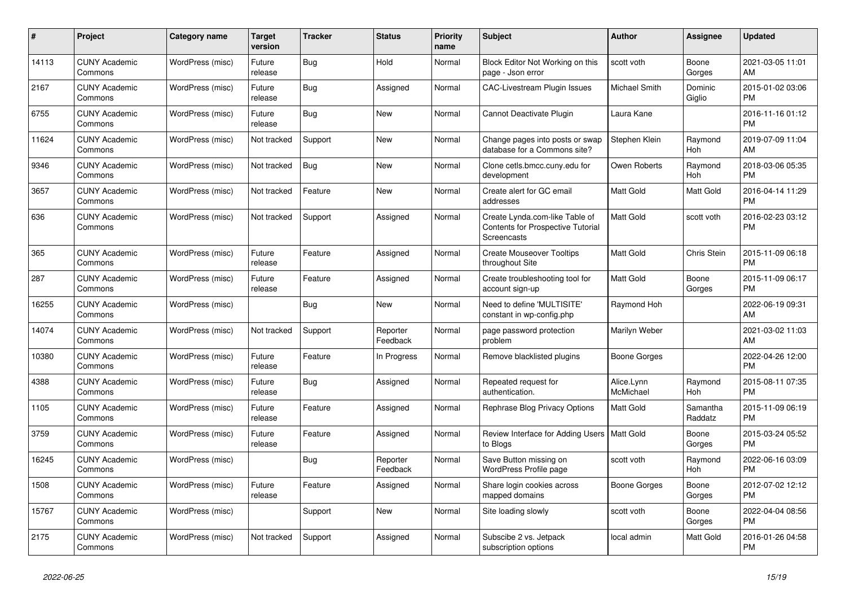| $\#$  | <b>Project</b>                  | Category name    | <b>Target</b><br>version | <b>Tracker</b> | <b>Status</b>        | <b>Priority</b><br>name | <b>Subject</b>                                                                            | <b>Author</b>           | <b>Assignee</b>     | <b>Updated</b>                |
|-------|---------------------------------|------------------|--------------------------|----------------|----------------------|-------------------------|-------------------------------------------------------------------------------------------|-------------------------|---------------------|-------------------------------|
| 14113 | <b>CUNY Academic</b><br>Commons | WordPress (misc) | Future<br>release        | Bug            | Hold                 | Normal                  | Block Editor Not Working on this<br>page - Json error                                     | scott voth              | Boone<br>Gorges     | 2021-03-05 11:01<br>AM        |
| 2167  | <b>CUNY Academic</b><br>Commons | WordPress (misc) | Future<br>release        | Bug            | Assigned             | Normal                  | <b>CAC-Livestream Plugin Issues</b>                                                       | Michael Smith           | Dominic<br>Giglio   | 2015-01-02 03:06<br><b>PM</b> |
| 6755  | <b>CUNY Academic</b><br>Commons | WordPress (misc) | Future<br>release        | Bug            | <b>New</b>           | Normal                  | Cannot Deactivate Plugin                                                                  | Laura Kane              |                     | 2016-11-16 01:12<br><b>PM</b> |
| 11624 | <b>CUNY Academic</b><br>Commons | WordPress (misc) | Not tracked              | Support        | <b>New</b>           | Normal                  | Change pages into posts or swap<br>database for a Commons site?                           | Stephen Klein           | Raymond<br>Hoh      | 2019-07-09 11:04<br>AM        |
| 9346  | <b>CUNY Academic</b><br>Commons | WordPress (misc) | Not tracked              | Bug            | <b>New</b>           | Normal                  | Clone cetls.bmcc.cuny.edu for<br>development                                              | Owen Roberts            | Raymond<br>Hoh      | 2018-03-06 05:35<br><b>PM</b> |
| 3657  | <b>CUNY Academic</b><br>Commons | WordPress (misc) | Not tracked              | Feature        | New                  | Normal                  | Create alert for GC email<br>addresses                                                    | Matt Gold               | Matt Gold           | 2016-04-14 11:29<br><b>PM</b> |
| 636   | <b>CUNY Academic</b><br>Commons | WordPress (misc) | Not tracked              | Support        | Assigned             | Normal                  | Create Lynda.com-like Table of<br><b>Contents for Prospective Tutorial</b><br>Screencasts | <b>Matt Gold</b>        | scott voth          | 2016-02-23 03:12<br><b>PM</b> |
| 365   | <b>CUNY Academic</b><br>Commons | WordPress (misc) | Future<br>release        | Feature        | Assigned             | Normal                  | <b>Create Mouseover Tooltips</b><br>throughout Site                                       | <b>Matt Gold</b>        | Chris Stein         | 2015-11-09 06:18<br><b>PM</b> |
| 287   | <b>CUNY Academic</b><br>Commons | WordPress (misc) | Future<br>release        | Feature        | Assigned             | Normal                  | Create troubleshooting tool for<br>account sign-up                                        | Matt Gold               | Boone<br>Gorges     | 2015-11-09 06:17<br><b>PM</b> |
| 16255 | <b>CUNY Academic</b><br>Commons | WordPress (misc) |                          | Bug            | <b>New</b>           | Normal                  | Need to define 'MULTISITE'<br>constant in wp-config.php                                   | Raymond Hoh             |                     | 2022-06-19 09:31<br>AM        |
| 14074 | <b>CUNY Academic</b><br>Commons | WordPress (misc) | Not tracked              | Support        | Reporter<br>Feedback | Normal                  | page password protection<br>problem                                                       | Marilyn Weber           |                     | 2021-03-02 11:03<br>AM        |
| 10380 | <b>CUNY Academic</b><br>Commons | WordPress (misc) | Future<br>release        | Feature        | In Progress          | Normal                  | Remove blacklisted plugins                                                                | Boone Gorges            |                     | 2022-04-26 12:00<br><b>PM</b> |
| 4388  | <b>CUNY Academic</b><br>Commons | WordPress (misc) | Future<br>release        | Bug            | Assigned             | Normal                  | Repeated request for<br>authentication.                                                   | Alice.Lynn<br>McMichael | Raymond<br>Hoh      | 2015-08-11 07:35<br><b>PM</b> |
| 1105  | <b>CUNY Academic</b><br>Commons | WordPress (misc) | Future<br>release        | Feature        | Assigned             | Normal                  | Rephrase Blog Privacy Options                                                             | Matt Gold               | Samantha<br>Raddatz | 2015-11-09 06:19<br><b>PM</b> |
| 3759  | <b>CUNY Academic</b><br>Commons | WordPress (misc) | Future<br>release        | Feature        | Assigned             | Normal                  | Review Interface for Adding Users   Matt Gold<br>to Blogs                                 |                         | Boone<br>Gorges     | 2015-03-24 05:52<br><b>PM</b> |
| 16245 | <b>CUNY Academic</b><br>Commons | WordPress (misc) |                          | Bug            | Reporter<br>Feedback | Normal                  | Save Button missing on<br>WordPress Profile page                                          | scott voth              | Raymond<br>Hoh      | 2022-06-16 03:09<br><b>PM</b> |
| 1508  | <b>CUNY Academic</b><br>Commons | WordPress (misc) | Future<br>release        | Feature        | Assigned             | Normal                  | Share login cookies across<br>mapped domains                                              | Boone Gorges            | Boone<br>Gorges     | 2012-07-02 12:12<br><b>PM</b> |
| 15767 | <b>CUNY Academic</b><br>Commons | WordPress (misc) |                          | Support        | <b>New</b>           | Normal                  | Site loading slowly                                                                       | scott voth              | Boone<br>Gorges     | 2022-04-04 08:56<br><b>PM</b> |
| 2175  | <b>CUNY Academic</b><br>Commons | WordPress (misc) | Not tracked              | Support        | Assigned             | Normal                  | Subscibe 2 vs. Jetpack<br>subscription options                                            | local admin             | Matt Gold           | 2016-01-26 04:58<br><b>PM</b> |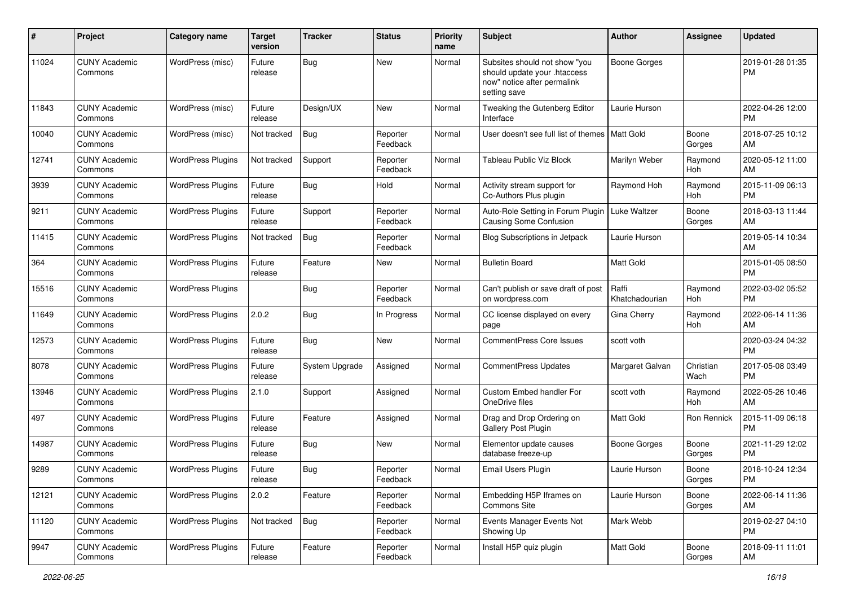| #     | Project                         | <b>Category name</b>     | <b>Target</b><br>version | <b>Tracker</b> | <b>Status</b>        | <b>Priority</b><br>name | Subject                                                                                                      | Author                  | <b>Assignee</b>   | <b>Updated</b>                |
|-------|---------------------------------|--------------------------|--------------------------|----------------|----------------------|-------------------------|--------------------------------------------------------------------------------------------------------------|-------------------------|-------------------|-------------------------------|
| 11024 | <b>CUNY Academic</b><br>Commons | WordPress (misc)         | Future<br>release        | Bug            | New                  | Normal                  | Subsites should not show "you<br>should update your .htaccess<br>now" notice after permalink<br>setting save | Boone Gorges            |                   | 2019-01-28 01:35<br>PM        |
| 11843 | <b>CUNY Academic</b><br>Commons | WordPress (misc)         | Future<br>release        | Design/UX      | New                  | Normal                  | Tweaking the Gutenberg Editor<br>Interface                                                                   | Laurie Hurson           |                   | 2022-04-26 12:00<br><b>PM</b> |
| 10040 | <b>CUNY Academic</b><br>Commons | WordPress (misc)         | Not tracked              | Bug            | Reporter<br>Feedback | Normal                  | User doesn't see full list of themes   Matt Gold                                                             |                         | Boone<br>Gorges   | 2018-07-25 10:12<br>AM        |
| 12741 | <b>CUNY Academic</b><br>Commons | <b>WordPress Plugins</b> | Not tracked              | Support        | Reporter<br>Feedback | Normal                  | <b>Tableau Public Viz Block</b>                                                                              | Marilyn Weber           | Raymond<br>Hoh    | 2020-05-12 11:00<br>AM        |
| 3939  | <b>CUNY Academic</b><br>Commons | <b>WordPress Plugins</b> | Future<br>release        | Bug            | Hold                 | Normal                  | Activity stream support for<br>Co-Authors Plus plugin                                                        | Raymond Hoh             | Raymond<br>Hoh    | 2015-11-09 06:13<br><b>PM</b> |
| 9211  | <b>CUNY Academic</b><br>Commons | <b>WordPress Plugins</b> | Future<br>release        | Support        | Reporter<br>Feedback | Normal                  | Auto-Role Setting in Forum Plugin<br>Causing Some Confusion                                                  | Luke Waltzer            | Boone<br>Gorges   | 2018-03-13 11:44<br>AM        |
| 11415 | <b>CUNY Academic</b><br>Commons | <b>WordPress Plugins</b> | Not tracked              | Bug            | Reporter<br>Feedback | Normal                  | <b>Blog Subscriptions in Jetpack</b>                                                                         | Laurie Hurson           |                   | 2019-05-14 10:34<br>AM        |
| 364   | <b>CUNY Academic</b><br>Commons | <b>WordPress Plugins</b> | Future<br>release        | Feature        | New                  | Normal                  | <b>Bulletin Board</b>                                                                                        | Matt Gold               |                   | 2015-01-05 08:50<br><b>PM</b> |
| 15516 | <b>CUNY Academic</b><br>Commons | <b>WordPress Plugins</b> |                          | Bug            | Reporter<br>Feedback | Normal                  | Can't publish or save draft of post<br>on wordpress.com                                                      | Raffi<br>Khatchadourian | Raymond<br>Hoh    | 2022-03-02 05:52<br>PM        |
| 11649 | <b>CUNY Academic</b><br>Commons | <b>WordPress Plugins</b> | 2.0.2                    | Bug            | In Progress          | Normal                  | CC license displayed on every<br>page                                                                        | Gina Cherry             | Raymond<br>Hoh    | 2022-06-14 11:36<br>AM        |
| 12573 | <b>CUNY Academic</b><br>Commons | <b>WordPress Plugins</b> | Future<br>release        | <b>Bug</b>     | New                  | Normal                  | <b>CommentPress Core Issues</b>                                                                              | scott voth              |                   | 2020-03-24 04:32<br><b>PM</b> |
| 8078  | <b>CUNY Academic</b><br>Commons | <b>WordPress Plugins</b> | Future<br>release        | System Upgrade | Assigned             | Normal                  | <b>CommentPress Updates</b>                                                                                  | Margaret Galvan         | Christian<br>Wach | 2017-05-08 03:49<br><b>PM</b> |
| 13946 | <b>CUNY Academic</b><br>Commons | <b>WordPress Plugins</b> | 2.1.0                    | Support        | Assigned             | Normal                  | Custom Embed handler For<br>OneDrive files                                                                   | scott voth              | Raymond<br>Hoh    | 2022-05-26 10:46<br>AM        |
| 497   | <b>CUNY Academic</b><br>Commons | <b>WordPress Plugins</b> | Future<br>release        | Feature        | Assigned             | Normal                  | Drag and Drop Ordering on<br><b>Gallery Post Plugin</b>                                                      | <b>Matt Gold</b>        | Ron Rennick       | 2015-11-09 06:18<br><b>PM</b> |
| 14987 | <b>CUNY Academic</b><br>Commons | <b>WordPress Plugins</b> | Future<br>release        | Bug            | New                  | Normal                  | Elementor update causes<br>database freeze-up                                                                | <b>Boone Gorges</b>     | Boone<br>Gorges   | 2021-11-29 12:02<br><b>PM</b> |
| 9289  | <b>CUNY Academic</b><br>Commons | <b>WordPress Plugins</b> | Future<br>release        | Bug            | Reporter<br>Feedback | Normal                  | Email Users Plugin                                                                                           | Laurie Hurson           | Boone<br>Gorges   | 2018-10-24 12:34<br>PM        |
| 12121 | <b>CUNY Academic</b><br>Commons | <b>WordPress Plugins</b> | 2.0.2                    | Feature        | Reporter<br>Feedback | Normal                  | Embedding H5P Iframes on<br>Commons Site                                                                     | Laurie Hurson           | Boone<br>Gorges   | 2022-06-14 11:36<br>AM        |
| 11120 | <b>CUNY Academic</b><br>Commons | <b>WordPress Plugins</b> | Not tracked              | <b>Bug</b>     | Reporter<br>Feedback | Normal                  | Events Manager Events Not<br>Showing Up                                                                      | Mark Webb               |                   | 2019-02-27 04:10<br><b>PM</b> |
| 9947  | <b>CUNY Academic</b><br>Commons | <b>WordPress Plugins</b> | Future<br>release        | Feature        | Reporter<br>Feedback | Normal                  | Install H5P quiz plugin                                                                                      | Matt Gold               | Boone<br>Gorges   | 2018-09-11 11:01<br>AM        |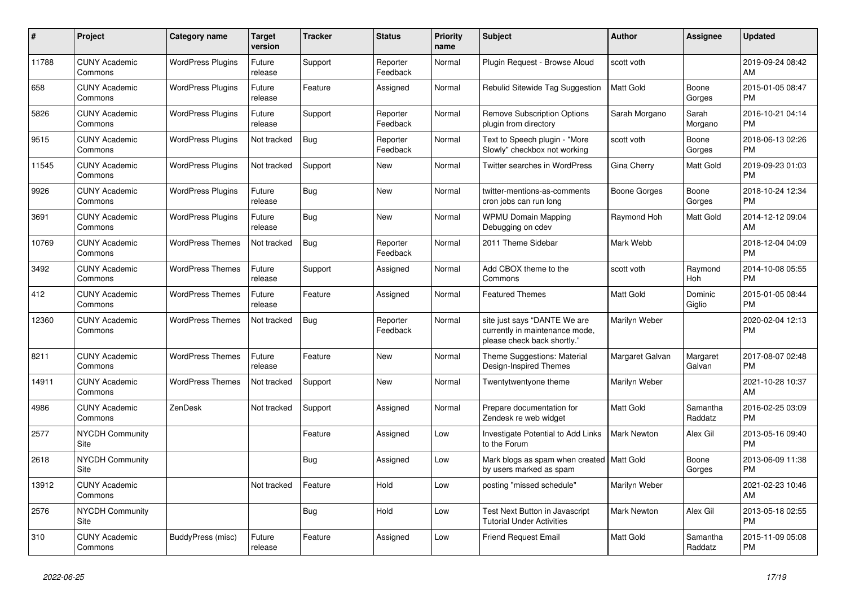| $\pmb{\#}$ | <b>Project</b>                  | Category name            | <b>Target</b><br>version | <b>Tracker</b> | <b>Status</b>        | <b>Priority</b><br>name | <b>Subject</b>                                                                                | <b>Author</b>      | <b>Assignee</b>     | <b>Updated</b>                |
|------------|---------------------------------|--------------------------|--------------------------|----------------|----------------------|-------------------------|-----------------------------------------------------------------------------------------------|--------------------|---------------------|-------------------------------|
| 11788      | <b>CUNY Academic</b><br>Commons | <b>WordPress Plugins</b> | Future<br>release        | Support        | Reporter<br>Feedback | Normal                  | Plugin Request - Browse Aloud                                                                 | scott voth         |                     | 2019-09-24 08:42<br>AM        |
| 658        | <b>CUNY Academic</b><br>Commons | <b>WordPress Plugins</b> | Future<br>release        | Feature        | Assigned             | Normal                  | Rebulid Sitewide Tag Suggestion                                                               | <b>Matt Gold</b>   | Boone<br>Gorges     | 2015-01-05 08:47<br><b>PM</b> |
| 5826       | <b>CUNY Academic</b><br>Commons | WordPress Plugins        | Future<br>release        | Support        | Reporter<br>Feedback | Normal                  | <b>Remove Subscription Options</b><br>plugin from directory                                   | Sarah Morgano      | Sarah<br>Morgano    | 2016-10-21 04:14<br><b>PM</b> |
| 9515       | <b>CUNY Academic</b><br>Commons | <b>WordPress Plugins</b> | Not tracked              | Bug            | Reporter<br>Feedback | Normal                  | Text to Speech plugin - "More<br>Slowly" checkbox not working                                 | scott voth         | Boone<br>Gorges     | 2018-06-13 02:26<br><b>PM</b> |
| 11545      | <b>CUNY Academic</b><br>Commons | <b>WordPress Plugins</b> | Not tracked              | Support        | <b>New</b>           | Normal                  | <b>Twitter searches in WordPress</b>                                                          | Gina Cherry        | <b>Matt Gold</b>    | 2019-09-23 01:03<br><b>PM</b> |
| 9926       | <b>CUNY Academic</b><br>Commons | <b>WordPress Plugins</b> | Future<br>release        | Bug            | New                  | Normal                  | twitter-mentions-as-comments<br>cron jobs can run long                                        | Boone Gorges       | Boone<br>Gorges     | 2018-10-24 12:34<br><b>PM</b> |
| 3691       | <b>CUNY Academic</b><br>Commons | <b>WordPress Plugins</b> | Future<br>release        | <b>Bug</b>     | <b>New</b>           | Normal                  | <b>WPMU Domain Mapping</b><br>Debugging on cdev                                               | Raymond Hoh        | Matt Gold           | 2014-12-12 09:04<br>AM        |
| 10769      | <b>CUNY Academic</b><br>Commons | <b>WordPress Themes</b>  | Not tracked              | <b>Bug</b>     | Reporter<br>Feedback | Normal                  | 2011 Theme Sidebar                                                                            | Mark Webb          |                     | 2018-12-04 04:09<br><b>PM</b> |
| 3492       | <b>CUNY Academic</b><br>Commons | <b>WordPress Themes</b>  | Future<br>release        | Support        | Assigned             | Normal                  | Add CBOX theme to the<br>Commons                                                              | scott voth         | Raymond<br>Hoh      | 2014-10-08 05:55<br><b>PM</b> |
| 412        | <b>CUNY Academic</b><br>Commons | <b>WordPress Themes</b>  | Future<br>release        | Feature        | Assigned             | Normal                  | <b>Featured Themes</b>                                                                        | Matt Gold          | Dominic<br>Giglio   | 2015-01-05 08:44<br><b>PM</b> |
| 12360      | <b>CUNY Academic</b><br>Commons | <b>WordPress Themes</b>  | Not tracked              | Bug            | Reporter<br>Feedback | Normal                  | site just says "DANTE We are<br>currently in maintenance mode,<br>please check back shortly." | Marilyn Weber      |                     | 2020-02-04 12:13<br><b>PM</b> |
| 8211       | <b>CUNY Academic</b><br>Commons | <b>WordPress Themes</b>  | Future<br>release        | Feature        | <b>New</b>           | Normal                  | Theme Suggestions: Material<br>Design-Inspired Themes                                         | Margaret Galvan    | Margaret<br>Galvan  | 2017-08-07 02:48<br><b>PM</b> |
| 14911      | <b>CUNY Academic</b><br>Commons | <b>WordPress Themes</b>  | Not tracked              | Support        | <b>New</b>           | Normal                  | Twentytwentyone theme                                                                         | Marilyn Weber      |                     | 2021-10-28 10:37<br>AM        |
| 4986       | <b>CUNY Academic</b><br>Commons | ZenDesk                  | Not tracked              | Support        | Assigned             | Normal                  | Prepare documentation for<br>Zendesk re web widget                                            | <b>Matt Gold</b>   | Samantha<br>Raddatz | 2016-02-25 03:09<br><b>PM</b> |
| 2577       | <b>NYCDH Community</b><br>Site  |                          |                          | Feature        | Assigned             | Low                     | Investigate Potential to Add Links<br>to the Forum                                            | <b>Mark Newton</b> | Alex Gil            | 2013-05-16 09:40<br><b>PM</b> |
| 2618       | <b>NYCDH Community</b><br>Site  |                          |                          | <b>Bug</b>     | Assigned             | Low                     | Mark blogs as spam when created   Matt Gold<br>by users marked as spam                        |                    | Boone<br>Gorges     | 2013-06-09 11:38<br><b>PM</b> |
| 13912      | <b>CUNY Academic</b><br>Commons |                          | Not tracked              | Feature        | Hold                 | Low                     | posting "missed schedule"                                                                     | Marilyn Weber      |                     | 2021-02-23 10:46<br>AM        |
| 2576       | <b>NYCDH Community</b><br>Site  |                          |                          | Bug            | Hold                 | Low                     | Test Next Button in Javascript<br><b>Tutorial Under Activities</b>                            | <b>Mark Newton</b> | Alex Gil            | 2013-05-18 02:55<br><b>PM</b> |
| 310        | <b>CUNY Academic</b><br>Commons | BuddyPress (misc)        | Future<br>release        | Feature        | Assigned             | Low                     | Friend Request Email                                                                          | <b>Matt Gold</b>   | Samantha<br>Raddatz | 2015-11-09 05:08<br><b>PM</b> |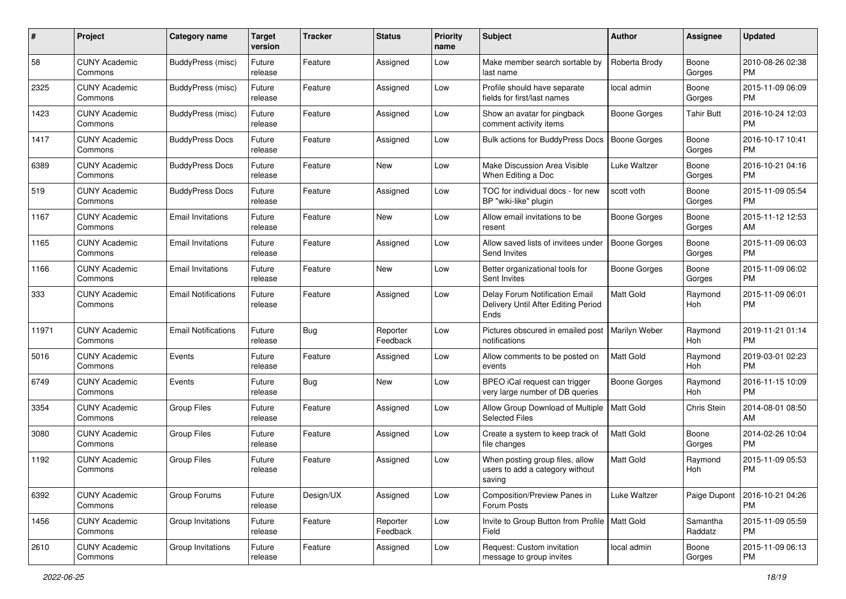| #     | Project                         | <b>Category name</b>       | <b>Target</b><br>version | <b>Tracker</b> | <b>Status</b>        | <b>Priority</b><br>name | Subject                                                                       | Author              | <b>Assignee</b>     | <b>Updated</b>                |
|-------|---------------------------------|----------------------------|--------------------------|----------------|----------------------|-------------------------|-------------------------------------------------------------------------------|---------------------|---------------------|-------------------------------|
| 58    | <b>CUNY Academic</b><br>Commons | BuddyPress (misc)          | Future<br>release        | Feature        | Assigned             | Low                     | Make member search sortable by<br>last name                                   | Roberta Brody       | Boone<br>Gorges     | 2010-08-26 02:38<br><b>PM</b> |
| 2325  | <b>CUNY Academic</b><br>Commons | BuddyPress (misc)          | Future<br>release        | Feature        | Assigned             | Low                     | Profile should have separate<br>fields for first/last names                   | local admin         | Boone<br>Gorges     | 2015-11-09 06:09<br><b>PM</b> |
| 1423  | <b>CUNY Academic</b><br>Commons | BuddyPress (misc)          | Future<br>release        | Feature        | Assigned             | Low                     | Show an avatar for pingback<br>comment activity items                         | Boone Gorges        | Tahir Butt          | 2016-10-24 12:03<br><b>PM</b> |
| 1417  | <b>CUNY Academic</b><br>Commons | <b>BuddyPress Docs</b>     | Future<br>release        | Feature        | Assigned             | Low                     | <b>Bulk actions for BuddyPress Docs</b>                                       | <b>Boone Gorges</b> | Boone<br>Gorges     | 2016-10-17 10:41<br><b>PM</b> |
| 6389  | <b>CUNY Academic</b><br>Commons | <b>BuddyPress Docs</b>     | Future<br>release        | Feature        | New                  | Low                     | Make Discussion Area Visible<br>When Editing a Doc                            | Luke Waltzer        | Boone<br>Gorges     | 2016-10-21 04:16<br><b>PM</b> |
| 519   | <b>CUNY Academic</b><br>Commons | <b>BuddyPress Docs</b>     | Future<br>release        | Feature        | Assigned             | Low                     | TOC for individual docs - for new<br>BP "wiki-like" plugin                    | scott voth          | Boone<br>Gorges     | 2015-11-09 05:54<br><b>PM</b> |
| 1167  | <b>CUNY Academic</b><br>Commons | <b>Email Invitations</b>   | Future<br>release        | Feature        | New                  | Low                     | Allow email invitations to be<br>resent                                       | <b>Boone Gorges</b> | Boone<br>Gorges     | 2015-11-12 12:53<br>AM        |
| 1165  | <b>CUNY Academic</b><br>Commons | <b>Email Invitations</b>   | Future<br>release        | Feature        | Assigned             | Low                     | Allow saved lists of invitees under<br>Send Invites                           | <b>Boone Gorges</b> | Boone<br>Gorges     | 2015-11-09 06:03<br><b>PM</b> |
| 1166  | <b>CUNY Academic</b><br>Commons | <b>Email Invitations</b>   | Future<br>release        | Feature        | New                  | Low                     | Better organizational tools for<br>Sent Invites                               | <b>Boone Gorges</b> | Boone<br>Gorges     | 2015-11-09 06:02<br><b>PM</b> |
| 333   | <b>CUNY Academic</b><br>Commons | <b>Email Notifications</b> | Future<br>release        | Feature        | Assigned             | Low                     | Delay Forum Notification Email<br>Delivery Until After Editing Period<br>Ends | <b>Matt Gold</b>    | Raymond<br>Hoh      | 2015-11-09 06:01<br><b>PM</b> |
| 11971 | <b>CUNY Academic</b><br>Commons | <b>Email Notifications</b> | Future<br>release        | Bug            | Reporter<br>Feedback | Low                     | Pictures obscured in emailed post<br>notifications                            | Marilyn Weber       | Raymond<br>Hoh      | 2019-11-21 01:14<br><b>PM</b> |
| 5016  | <b>CUNY Academic</b><br>Commons | Events                     | Future<br>release        | Feature        | Assigned             | Low                     | Allow comments to be posted on<br>events                                      | Matt Gold           | Raymond<br>Hoh      | 2019-03-01 02:23<br><b>PM</b> |
| 6749  | <b>CUNY Academic</b><br>Commons | Events                     | Future<br>release        | <b>Bug</b>     | New                  | Low                     | BPEO iCal request can trigger<br>very large number of DB queries              | <b>Boone Gorges</b> | Raymond<br>Hoh      | 2016-11-15 10:09<br><b>PM</b> |
| 3354  | <b>CUNY Academic</b><br>Commons | <b>Group Files</b>         | Future<br>release        | Feature        | Assigned             | Low                     | Allow Group Download of Multiple<br><b>Selected Files</b>                     | <b>Matt Gold</b>    | Chris Stein         | 2014-08-01 08:50<br>AM        |
| 3080  | <b>CUNY Academic</b><br>Commons | <b>Group Files</b>         | Future<br>release        | Feature        | Assigned             | Low                     | Create a system to keep track of<br>file changes                              | Matt Gold           | Boone<br>Gorges     | 2014-02-26 10:04<br><b>PM</b> |
| 1192  | <b>CUNY Academic</b><br>Commons | <b>Group Files</b>         | Future<br>release        | Feature        | Assigned             | Low                     | When posting group files, allow<br>users to add a category without<br>saving  | Matt Gold           | Raymond<br>Hoh      | 2015-11-09 05:53<br><b>PM</b> |
| 6392  | <b>CUNY Academic</b><br>Commons | Group Forums               | Future<br>release        | Design/UX      | Assigned             | Low                     | Composition/Preview Panes in<br>Forum Posts                                   | Luke Waltzer        | Paige Dupont        | 2016-10-21 04:26<br>PM        |
| 1456  | <b>CUNY Academic</b><br>Commons | Group Invitations          | Future<br>release        | Feature        | Reporter<br>Feedback | Low                     | Invite to Group Button from Profile   Matt Gold<br>Field                      |                     | Samantha<br>Raddatz | 2015-11-09 05:59<br><b>PM</b> |
| 2610  | <b>CUNY Academic</b><br>Commons | Group Invitations          | Future<br>release        | Feature        | Assigned             | Low                     | Request: Custom invitation<br>message to group invites                        | local admin         | Boone<br>Gorges     | 2015-11-09 06:13<br><b>PM</b> |